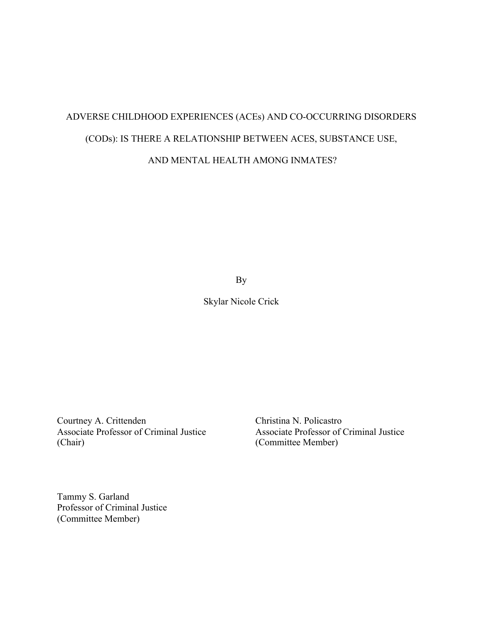## ADVERSE CHILDHOOD EXPERIENCES (ACEs) AND CO-OCCURRING DISORDERS (CODs): IS THERE A RELATIONSHIP BETWEEN ACES, SUBSTANCE USE, AND MENTAL HEALTH AMONG INMATES?

By

Skylar Nicole Crick

Courtney A. Crittenden Christina N. Policastro Associate Professor of Criminal Justice Associate Professor of Criminal Justice (Chair) (Committee Member)

Tammy S. Garland Professor of Criminal Justice (Committee Member)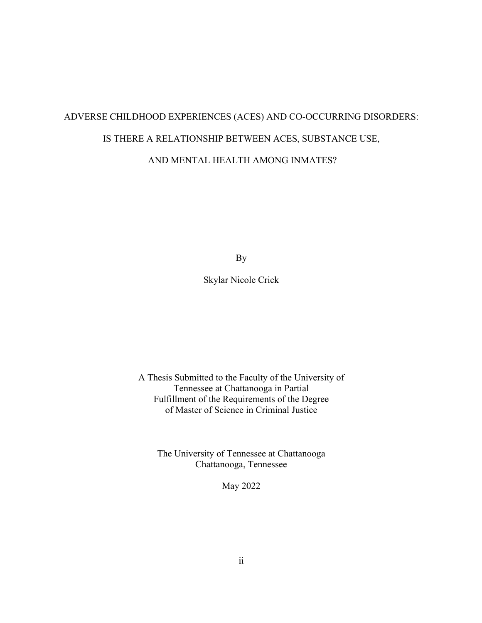# ADVERSE CHILDHOOD EXPERIENCES (ACES) AND CO-OCCURRING DISORDERS: IS THERE A RELATIONSHIP BETWEEN ACES, SUBSTANCE USE,

## AND MENTAL HEALTH AMONG INMATES?

By

## Skylar Nicole Crick

A Thesis Submitted to the Faculty of the University of Tennessee at Chattanooga in Partial Fulfillment of the Requirements of the Degree of Master of Science in Criminal Justice

The University of Tennessee at Chattanooga Chattanooga, Tennessee

May 2022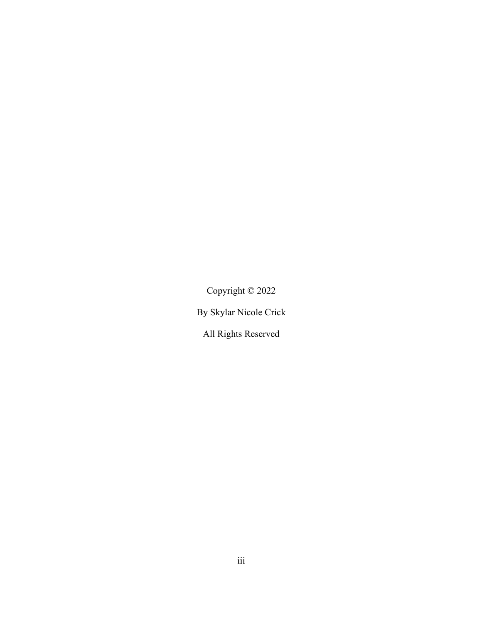Copyright © 2022

By Skylar Nicole Crick

All Rights Reserved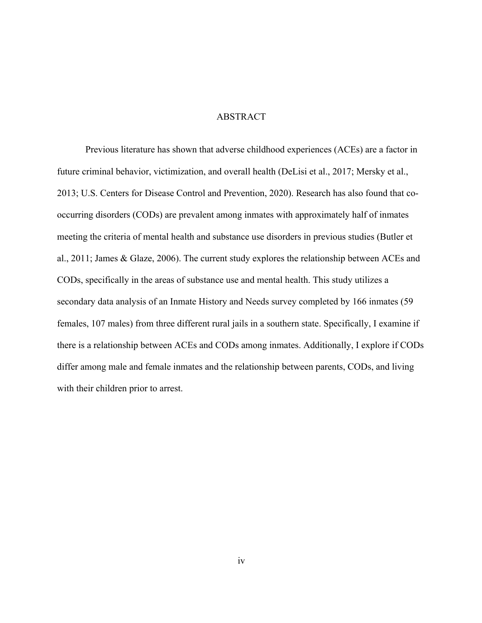#### ABSTRACT

Previous literature has shown that adverse childhood experiences (ACEs) are a factor in future criminal behavior, victimization, and overall health (DeLisi et al., 2017; Mersky et al., 2013; U.S. Centers for Disease Control and Prevention, 2020). Research has also found that cooccurring disorders (CODs) are prevalent among inmates with approximately half of inmates meeting the criteria of mental health and substance use disorders in previous studies (Butler et al., 2011; James & Glaze, 2006). The current study explores the relationship between ACEs and CODs, specifically in the areas of substance use and mental health. This study utilizes a secondary data analysis of an Inmate History and Needs survey completed by 166 inmates (59 females, 107 males) from three different rural jails in a southern state. Specifically, I examine if there is a relationship between ACEs and CODs among inmates. Additionally, I explore if CODs differ among male and female inmates and the relationship between parents, CODs, and living with their children prior to arrest.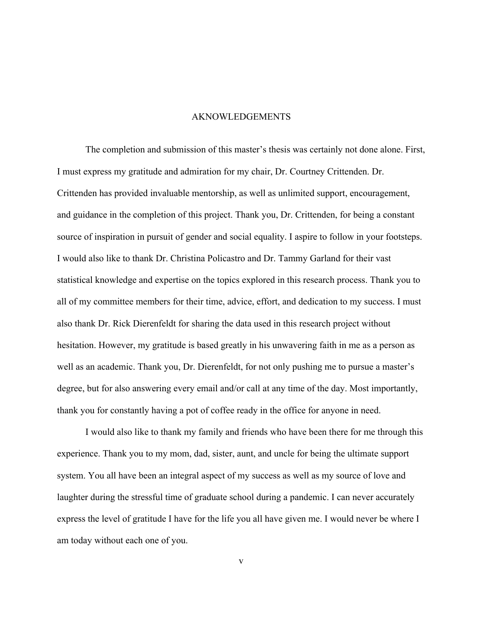#### AKNOWLEDGEMENTS

The completion and submission of this master's thesis was certainly not done alone. First, I must express my gratitude and admiration for my chair, Dr. Courtney Crittenden. Dr. Crittenden has provided invaluable mentorship, as well as unlimited support, encouragement, and guidance in the completion of this project. Thank you, Dr. Crittenden, for being a constant source of inspiration in pursuit of gender and social equality. I aspire to follow in your footsteps. I would also like to thank Dr. Christina Policastro and Dr. Tammy Garland for their vast statistical knowledge and expertise on the topics explored in this research process. Thank you to all of my committee members for their time, advice, effort, and dedication to my success. I must also thank Dr. Rick Dierenfeldt for sharing the data used in this research project without hesitation. However, my gratitude is based greatly in his unwavering faith in me as a person as well as an academic. Thank you, Dr. Dierenfeldt, for not only pushing me to pursue a master's degree, but for also answering every email and/or call at any time of the day. Most importantly, thank you for constantly having a pot of coffee ready in the office for anyone in need.

I would also like to thank my family and friends who have been there for me through this experience. Thank you to my mom, dad, sister, aunt, and uncle for being the ultimate support system. You all have been an integral aspect of my success as well as my source of love and laughter during the stressful time of graduate school during a pandemic. I can never accurately express the level of gratitude I have for the life you all have given me. I would never be where I am today without each one of you.

v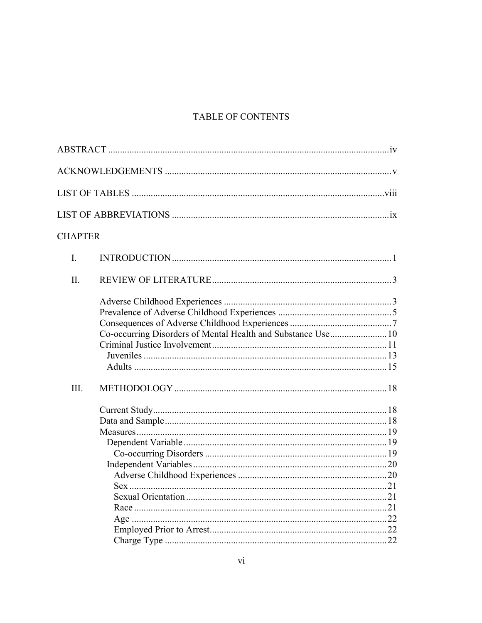## TABLE OF CONTENTS

| <b>CHAPTER</b> |                                                              |
|----------------|--------------------------------------------------------------|
| I.             |                                                              |
| Π.             |                                                              |
|                | Co-occurring Disorders of Mental Health and Substance Use 10 |
| III.           |                                                              |
|                |                                                              |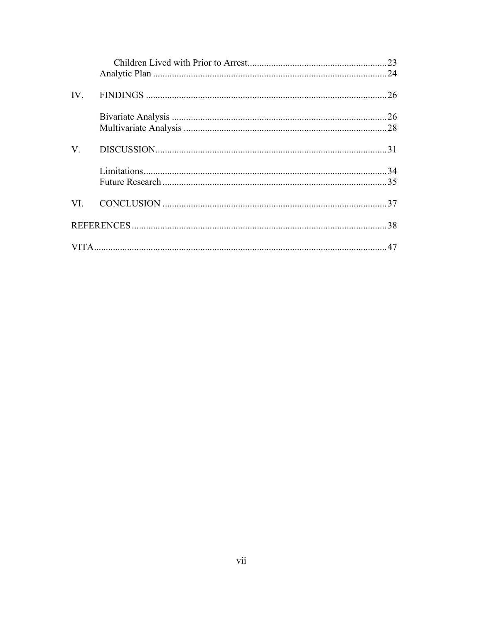| $V_{\cdot}$ |  |
|-------------|--|
|             |  |
|             |  |
|             |  |
|             |  |
|             |  |
|             |  |
|             |  |
|             |  |
|             |  |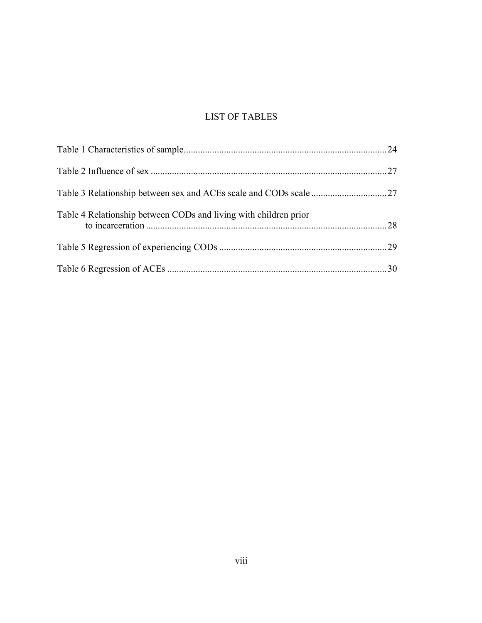## LIST OF TABLES

| Table 4 Relationship between CODs and living with children prior |  |
|------------------------------------------------------------------|--|
|                                                                  |  |
|                                                                  |  |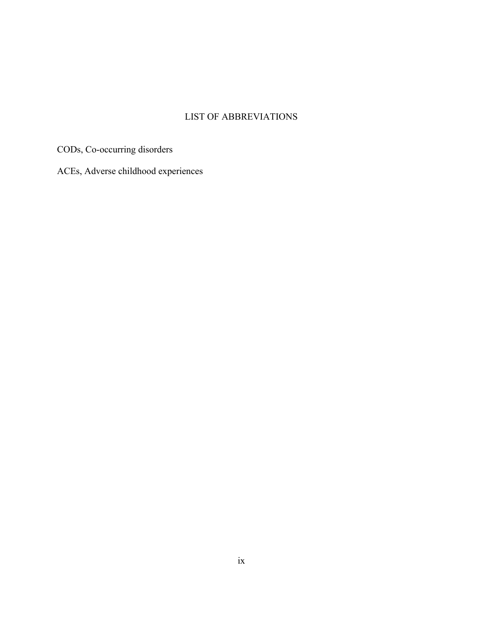## LIST OF ABBREVIATIONS

CODs, Co-occurring disorders

ACEs, Adverse childhood experiences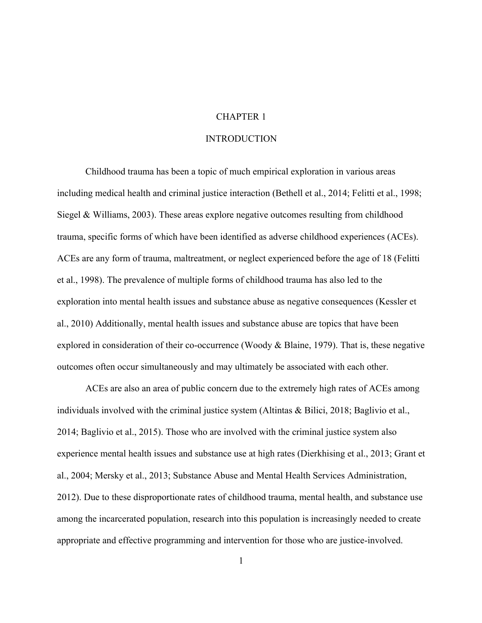#### CHAPTER 1

#### **INTRODUCTION**

Childhood trauma has been a topic of much empirical exploration in various areas including medical health and criminal justice interaction (Bethell et al., 2014; Felitti et al., 1998; Siegel & Williams, 2003). These areas explore negative outcomes resulting from childhood trauma, specific forms of which have been identified as adverse childhood experiences (ACEs). ACEs are any form of trauma, maltreatment, or neglect experienced before the age of 18 (Felitti et al., 1998). The prevalence of multiple forms of childhood trauma has also led to the exploration into mental health issues and substance abuse as negative consequences (Kessler et al., 2010) Additionally, mental health issues and substance abuse are topics that have been explored in consideration of their co-occurrence (Woody & Blaine, 1979). That is, these negative outcomes often occur simultaneously and may ultimately be associated with each other.

ACEs are also an area of public concern due to the extremely high rates of ACEs among individuals involved with the criminal justice system (Altintas & Bilici, 2018; Baglivio et al., 2014; Baglivio et al., 2015). Those who are involved with the criminal justice system also experience mental health issues and substance use at high rates (Dierkhising et al., 2013; Grant et al., 2004; Mersky et al., 2013; Substance Abuse and Mental Health Services Administration, 2012). Due to these disproportionate rates of childhood trauma, mental health, and substance use among the incarcerated population, research into this population is increasingly needed to create appropriate and effective programming and intervention for those who are justice-involved.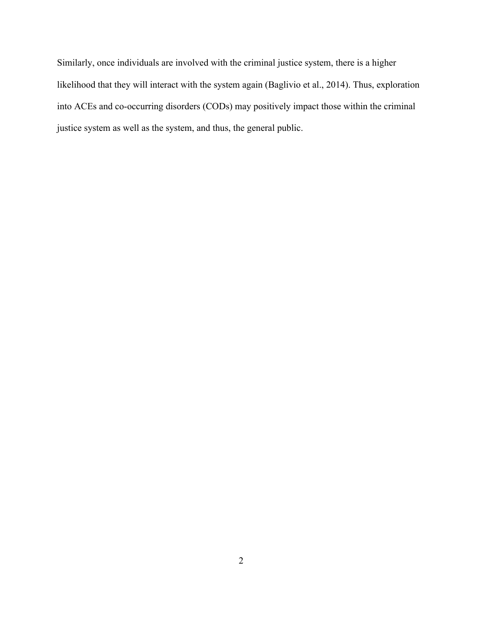Similarly, once individuals are involved with the criminal justice system, there is a higher likelihood that they will interact with the system again (Baglivio et al., 2014). Thus, exploration into ACEs and co-occurring disorders (CODs) may positively impact those within the criminal justice system as well as the system, and thus, the general public.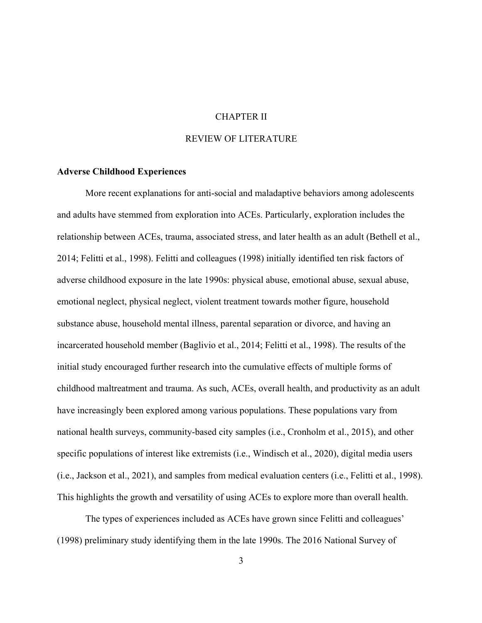#### CHAPTER II

#### REVIEW OF LITERATURE

#### **Adverse Childhood Experiences**

More recent explanations for anti-social and maladaptive behaviors among adolescents and adults have stemmed from exploration into ACEs. Particularly, exploration includes the relationship between ACEs, trauma, associated stress, and later health as an adult (Bethell et al., 2014; Felitti et al., 1998). Felitti and colleagues (1998) initially identified ten risk factors of adverse childhood exposure in the late 1990s: physical abuse, emotional abuse, sexual abuse, emotional neglect, physical neglect, violent treatment towards mother figure, household substance abuse, household mental illness, parental separation or divorce, and having an incarcerated household member (Baglivio et al., 2014; Felitti et al., 1998). The results of the initial study encouraged further research into the cumulative effects of multiple forms of childhood maltreatment and trauma. As such, ACEs, overall health, and productivity as an adult have increasingly been explored among various populations. These populations vary from national health surveys, community-based city samples (i.e., Cronholm et al., 2015), and other specific populations of interest like extremists (i.e., Windisch et al., 2020), digital media users (i.e., Jackson et al., 2021), and samples from medical evaluation centers (i.e., Felitti et al., 1998). This highlights the growth and versatility of using ACEs to explore more than overall health.

The types of experiences included as ACEs have grown since Felitti and colleagues' (1998) preliminary study identifying them in the late 1990s. The 2016 National Survey of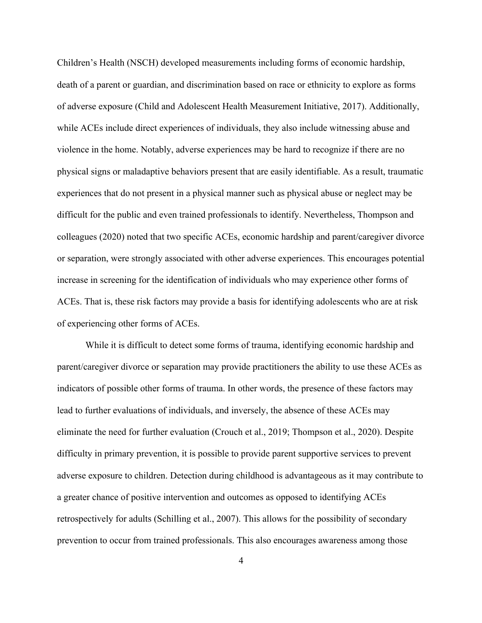Children's Health (NSCH) developed measurements including forms of economic hardship, death of a parent or guardian, and discrimination based on race or ethnicity to explore as forms of adverse exposure (Child and Adolescent Health Measurement Initiative, 2017). Additionally, while ACEs include direct experiences of individuals, they also include witnessing abuse and violence in the home. Notably, adverse experiences may be hard to recognize if there are no physical signs or maladaptive behaviors present that are easily identifiable. As a result, traumatic experiences that do not present in a physical manner such as physical abuse or neglect may be difficult for the public and even trained professionals to identify. Nevertheless, Thompson and colleagues (2020) noted that two specific ACEs, economic hardship and parent/caregiver divorce or separation, were strongly associated with other adverse experiences. This encourages potential increase in screening for the identification of individuals who may experience other forms of ACEs. That is, these risk factors may provide a basis for identifying adolescents who are at risk of experiencing other forms of ACEs.

While it is difficult to detect some forms of trauma, identifying economic hardship and parent/caregiver divorce or separation may provide practitioners the ability to use these ACEs as indicators of possible other forms of trauma. In other words, the presence of these factors may lead to further evaluations of individuals, and inversely, the absence of these ACEs may eliminate the need for further evaluation (Crouch et al., 2019; Thompson et al., 2020). Despite difficulty in primary prevention, it is possible to provide parent supportive services to prevent adverse exposure to children. Detection during childhood is advantageous as it may contribute to a greater chance of positive intervention and outcomes as opposed to identifying ACEs retrospectively for adults (Schilling et al., 2007). This allows for the possibility of secondary prevention to occur from trained professionals. This also encourages awareness among those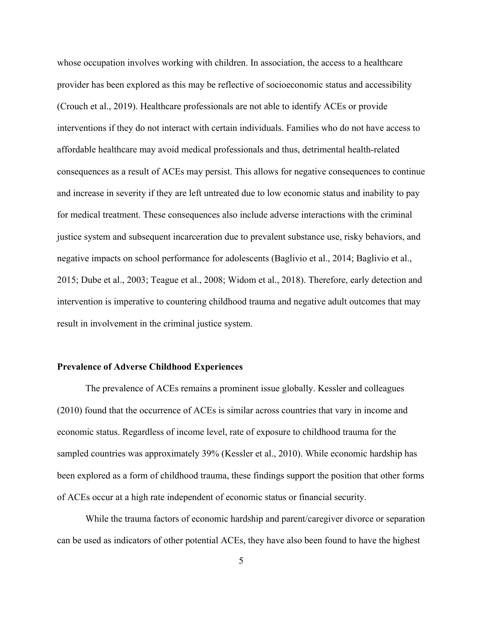whose occupation involves working with children. In association, the access to a healthcare provider has been explored as this may be reflective of socioeconomic status and accessibility (Crouch et al., 2019). Healthcare professionals are not able to identify ACEs or provide interventions if they do not interact with certain individuals. Families who do not have access to affordable healthcare may avoid medical professionals and thus, detrimental health-related consequences as a result of ACEs may persist. This allows for negative consequences to continue and increase in severity if they are left untreated due to low economic status and inability to pay for medical treatment. These consequences also include adverse interactions with the criminal justice system and subsequent incarceration due to prevalent substance use, risky behaviors, and negative impacts on school performance for adolescents (Baglivio et al., 2014; Baglivio et al., 2015; Dube et al., 2003; Teague et al., 2008; Widom et al., 2018). Therefore, early detection and intervention is imperative to countering childhood trauma and negative adult outcomes that may result in involvement in the criminal justice system.

#### **Prevalence of Adverse Childhood Experiences**

The prevalence of ACEs remains a prominent issue globally. Kessler and colleagues (2010) found that the occurrence of ACEs is similar across countries that vary in income and economic status. Regardless of income level, rate of exposure to childhood trauma for the sampled countries was approximately 39% (Kessler et al., 2010). While economic hardship has been explored as a form of childhood trauma, these findings support the position that other forms of ACEs occur at a high rate independent of economic status or financial security.

While the trauma factors of economic hardship and parent/caregiver divorce or separation can be used as indicators of other potential ACEs, they have also been found to have the highest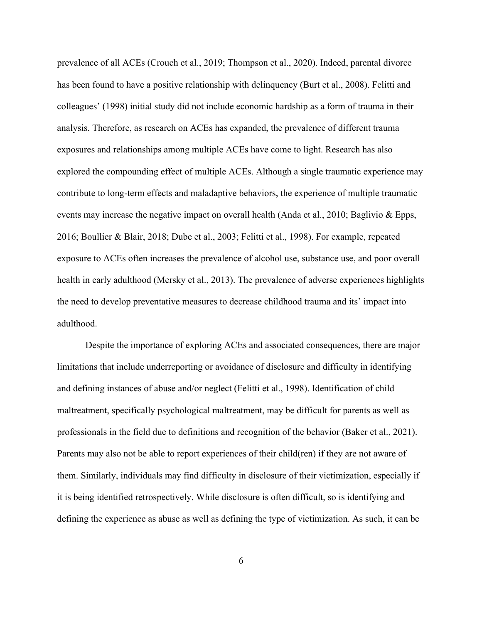prevalence of all ACEs (Crouch et al., 2019; Thompson et al., 2020). Indeed, parental divorce has been found to have a positive relationship with delinquency (Burt et al., 2008). Felitti and colleagues' (1998) initial study did not include economic hardship as a form of trauma in their analysis. Therefore, as research on ACEs has expanded, the prevalence of different trauma exposures and relationships among multiple ACEs have come to light. Research has also explored the compounding effect of multiple ACEs. Although a single traumatic experience may contribute to long-term effects and maladaptive behaviors, the experience of multiple traumatic events may increase the negative impact on overall health (Anda et al., 2010; Baglivio & Epps, 2016; Boullier & Blair, 2018; Dube et al., 2003; Felitti et al., 1998). For example, repeated exposure to ACEs often increases the prevalence of alcohol use, substance use, and poor overall health in early adulthood (Mersky et al., 2013). The prevalence of adverse experiences highlights the need to develop preventative measures to decrease childhood trauma and its' impact into adulthood.

Despite the importance of exploring ACEs and associated consequences, there are major limitations that include underreporting or avoidance of disclosure and difficulty in identifying and defining instances of abuse and/or neglect (Felitti et al., 1998). Identification of child maltreatment, specifically psychological maltreatment, may be difficult for parents as well as professionals in the field due to definitions and recognition of the behavior (Baker et al., 2021). Parents may also not be able to report experiences of their child(ren) if they are not aware of them. Similarly, individuals may find difficulty in disclosure of their victimization, especially if it is being identified retrospectively. While disclosure is often difficult, so is identifying and defining the experience as abuse as well as defining the type of victimization. As such, it can be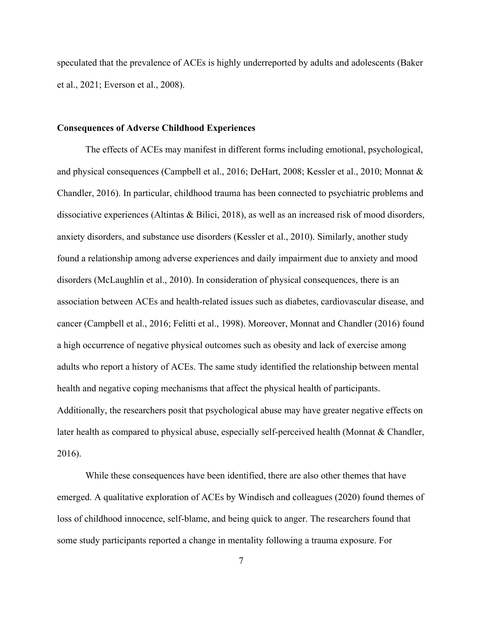speculated that the prevalence of ACEs is highly underreported by adults and adolescents (Baker et al., 2021; Everson et al., 2008).

#### **Consequences of Adverse Childhood Experiences**

The effects of ACEs may manifest in different forms including emotional, psychological, and physical consequences (Campbell et al., 2016; DeHart, 2008; Kessler et al., 2010; Monnat & Chandler, 2016). In particular, childhood trauma has been connected to psychiatric problems and dissociative experiences (Altintas & Bilici, 2018), as well as an increased risk of mood disorders, anxiety disorders, and substance use disorders (Kessler et al., 2010). Similarly, another study found a relationship among adverse experiences and daily impairment due to anxiety and mood disorders (McLaughlin et al., 2010). In consideration of physical consequences, there is an association between ACEs and health-related issues such as diabetes, cardiovascular disease, and cancer (Campbell et al., 2016; Felitti et al., 1998). Moreover, Monnat and Chandler (2016) found a high occurrence of negative physical outcomes such as obesity and lack of exercise among adults who report a history of ACEs. The same study identified the relationship between mental health and negative coping mechanisms that affect the physical health of participants. Additionally, the researchers posit that psychological abuse may have greater negative effects on later health as compared to physical abuse, especially self-perceived health (Monnat & Chandler, 2016).

While these consequences have been identified, there are also other themes that have emerged. A qualitative exploration of ACEs by Windisch and colleagues (2020) found themes of loss of childhood innocence, self-blame, and being quick to anger. The researchers found that some study participants reported a change in mentality following a trauma exposure. For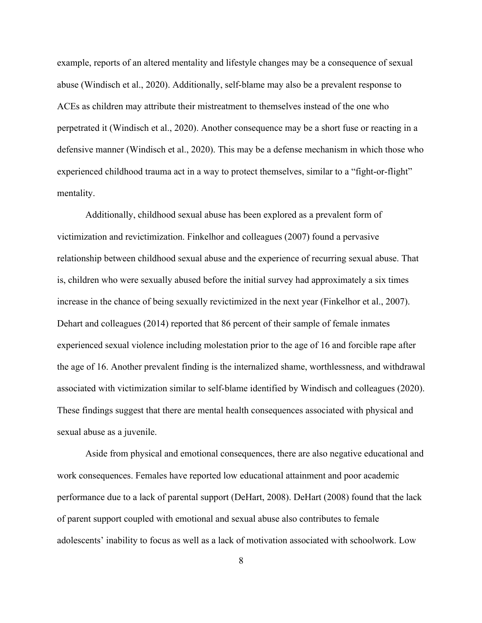example, reports of an altered mentality and lifestyle changes may be a consequence of sexual abuse (Windisch et al., 2020). Additionally, self-blame may also be a prevalent response to ACEs as children may attribute their mistreatment to themselves instead of the one who perpetrated it (Windisch et al., 2020). Another consequence may be a short fuse or reacting in a defensive manner (Windisch et al., 2020). This may be a defense mechanism in which those who experienced childhood trauma act in a way to protect themselves, similar to a "fight-or-flight" mentality.

Additionally, childhood sexual abuse has been explored as a prevalent form of victimization and revictimization. Finkelhor and colleagues (2007) found a pervasive relationship between childhood sexual abuse and the experience of recurring sexual abuse. That is, children who were sexually abused before the initial survey had approximately a six times increase in the chance of being sexually revictimized in the next year (Finkelhor et al., 2007). Dehart and colleagues (2014) reported that 86 percent of their sample of female inmates experienced sexual violence including molestation prior to the age of 16 and forcible rape after the age of 16. Another prevalent finding is the internalized shame, worthlessness, and withdrawal associated with victimization similar to self-blame identified by Windisch and colleagues (2020). These findings suggest that there are mental health consequences associated with physical and sexual abuse as a juvenile.

Aside from physical and emotional consequences, there are also negative educational and work consequences. Females have reported low educational attainment and poor academic performance due to a lack of parental support (DeHart, 2008). DeHart (2008) found that the lack of parent support coupled with emotional and sexual abuse also contributes to female adolescents' inability to focus as well as a lack of motivation associated with schoolwork. Low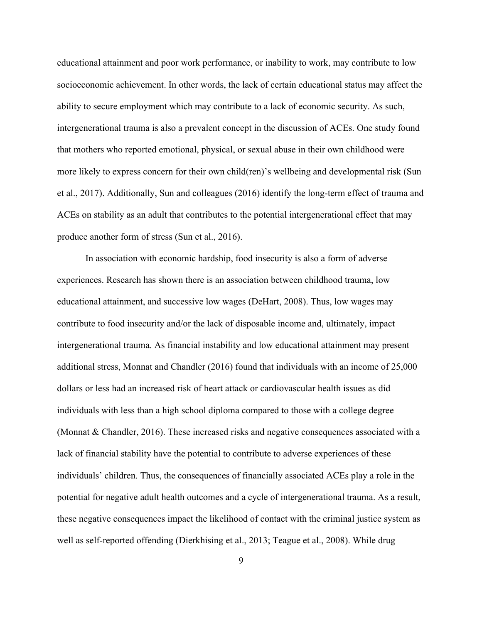educational attainment and poor work performance, or inability to work, may contribute to low socioeconomic achievement. In other words, the lack of certain educational status may affect the ability to secure employment which may contribute to a lack of economic security. As such, intergenerational trauma is also a prevalent concept in the discussion of ACEs. One study found that mothers who reported emotional, physical, or sexual abuse in their own childhood were more likely to express concern for their own child(ren)'s wellbeing and developmental risk (Sun et al., 2017). Additionally, Sun and colleagues (2016) identify the long-term effect of trauma and ACEs on stability as an adult that contributes to the potential intergenerational effect that may produce another form of stress (Sun et al., 2016).

In association with economic hardship, food insecurity is also a form of adverse experiences. Research has shown there is an association between childhood trauma, low educational attainment, and successive low wages (DeHart, 2008). Thus, low wages may contribute to food insecurity and/or the lack of disposable income and, ultimately, impact intergenerational trauma. As financial instability and low educational attainment may present additional stress, Monnat and Chandler (2016) found that individuals with an income of 25,000 dollars or less had an increased risk of heart attack or cardiovascular health issues as did individuals with less than a high school diploma compared to those with a college degree (Monnat & Chandler, 2016). These increased risks and negative consequences associated with a lack of financial stability have the potential to contribute to adverse experiences of these individuals' children. Thus, the consequences of financially associated ACEs play a role in the potential for negative adult health outcomes and a cycle of intergenerational trauma. As a result, these negative consequences impact the likelihood of contact with the criminal justice system as well as self-reported offending (Dierkhising et al., 2013; Teague et al., 2008). While drug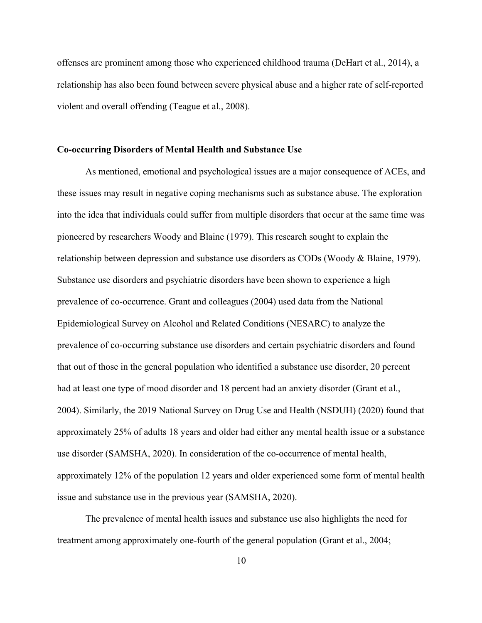offenses are prominent among those who experienced childhood trauma (DeHart et al., 2014), a relationship has also been found between severe physical abuse and a higher rate of self-reported violent and overall offending (Teague et al., 2008).

#### **Co-occurring Disorders of Mental Health and Substance Use**

As mentioned, emotional and psychological issues are a major consequence of ACEs, and these issues may result in negative coping mechanisms such as substance abuse. The exploration into the idea that individuals could suffer from multiple disorders that occur at the same time was pioneered by researchers Woody and Blaine (1979). This research sought to explain the relationship between depression and substance use disorders as CODs (Woody & Blaine, 1979). Substance use disorders and psychiatric disorders have been shown to experience a high prevalence of co-occurrence. Grant and colleagues (2004) used data from the National Epidemiological Survey on Alcohol and Related Conditions (NESARC) to analyze the prevalence of co-occurring substance use disorders and certain psychiatric disorders and found that out of those in the general population who identified a substance use disorder, 20 percent had at least one type of mood disorder and 18 percent had an anxiety disorder (Grant et al., 2004). Similarly, the 2019 National Survey on Drug Use and Health (NSDUH) (2020) found that approximately 25% of adults 18 years and older had either any mental health issue or a substance use disorder (SAMSHA, 2020). In consideration of the co-occurrence of mental health, approximately 12% of the population 12 years and older experienced some form of mental health issue and substance use in the previous year (SAMSHA, 2020).

The prevalence of mental health issues and substance use also highlights the need for treatment among approximately one-fourth of the general population (Grant et al., 2004;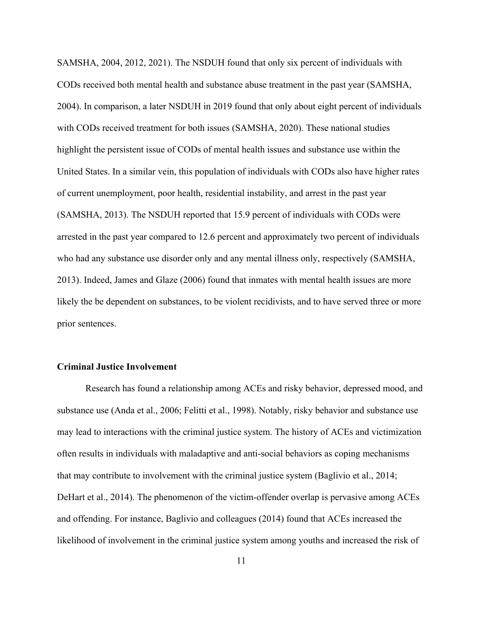SAMSHA, 2004, 2012, 2021). The NSDUH found that only six percent of individuals with CODs received both mental health and substance abuse treatment in the past year (SAMSHA, 2004). In comparison, a later NSDUH in 2019 found that only about eight percent of individuals with CODs received treatment for both issues (SAMSHA, 2020). These national studies highlight the persistent issue of CODs of mental health issues and substance use within the United States. In a similar vein, this population of individuals with CODs also have higher rates of current unemployment, poor health, residential instability, and arrest in the past year (SAMSHA, 2013). The NSDUH reported that 15.9 percent of individuals with CODs were arrested in the past year compared to 12.6 percent and approximately two percent of individuals who had any substance use disorder only and any mental illness only, respectively (SAMSHA, 2013). Indeed, James and Glaze (2006) found that inmates with mental health issues are more likely the be dependent on substances, to be violent recidivists, and to have served three or more prior sentences.

#### **Criminal Justice Involvement**

Research has found a relationship among ACEs and risky behavior, depressed mood, and substance use (Anda et al., 2006; Felitti et al., 1998). Notably, risky behavior and substance use may lead to interactions with the criminal justice system. The history of ACEs and victimization often results in individuals with maladaptive and anti-social behaviors as coping mechanisms that may contribute to involvement with the criminal justice system (Baglivio et al., 2014; DeHart et al., 2014). The phenomenon of the victim-offender overlap is pervasive among ACEs and offending. For instance, Baglivio and colleagues (2014) found that ACEs increased the likelihood of involvement in the criminal justice system among youths and increased the risk of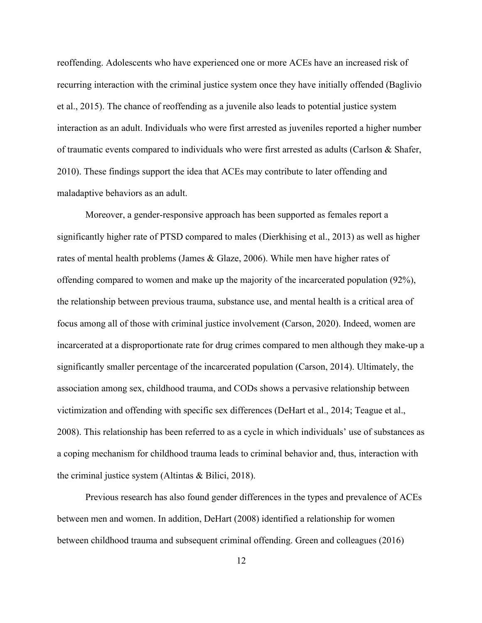reoffending. Adolescents who have experienced one or more ACEs have an increased risk of recurring interaction with the criminal justice system once they have initially offended (Baglivio et al., 2015). The chance of reoffending as a juvenile also leads to potential justice system interaction as an adult. Individuals who were first arrested as juveniles reported a higher number of traumatic events compared to individuals who were first arrested as adults (Carlson & Shafer, 2010). These findings support the idea that ACEs may contribute to later offending and maladaptive behaviors as an adult.

Moreover, a gender-responsive approach has been supported as females report a significantly higher rate of PTSD compared to males (Dierkhising et al., 2013) as well as higher rates of mental health problems (James & Glaze, 2006). While men have higher rates of offending compared to women and make up the majority of the incarcerated population (92%), the relationship between previous trauma, substance use, and mental health is a critical area of focus among all of those with criminal justice involvement (Carson, 2020). Indeed, women are incarcerated at a disproportionate rate for drug crimes compared to men although they make-up a significantly smaller percentage of the incarcerated population (Carson, 2014). Ultimately, the association among sex, childhood trauma, and CODs shows a pervasive relationship between victimization and offending with specific sex differences (DeHart et al., 2014; Teague et al., 2008). This relationship has been referred to as a cycle in which individuals' use of substances as a coping mechanism for childhood trauma leads to criminal behavior and, thus, interaction with the criminal justice system (Altintas & Bilici, 2018).

Previous research has also found gender differences in the types and prevalence of ACEs between men and women. In addition, DeHart (2008) identified a relationship for women between childhood trauma and subsequent criminal offending. Green and colleagues (2016)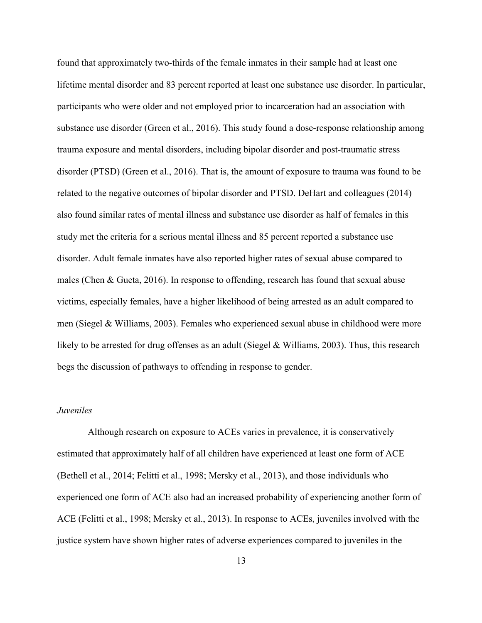found that approximately two-thirds of the female inmates in their sample had at least one lifetime mental disorder and 83 percent reported at least one substance use disorder. In particular, participants who were older and not employed prior to incarceration had an association with substance use disorder (Green et al., 2016). This study found a dose-response relationship among trauma exposure and mental disorders, including bipolar disorder and post-traumatic stress disorder (PTSD) (Green et al., 2016). That is, the amount of exposure to trauma was found to be related to the negative outcomes of bipolar disorder and PTSD. DeHart and colleagues (2014) also found similar rates of mental illness and substance use disorder as half of females in this study met the criteria for a serious mental illness and 85 percent reported a substance use disorder. Adult female inmates have also reported higher rates of sexual abuse compared to males (Chen & Gueta, 2016). In response to offending, research has found that sexual abuse victims, especially females, have a higher likelihood of being arrested as an adult compared to men (Siegel & Williams, 2003). Females who experienced sexual abuse in childhood were more likely to be arrested for drug offenses as an adult (Siegel & Williams, 2003). Thus, this research begs the discussion of pathways to offending in response to gender.

#### *Juveniles*

Although research on exposure to ACEs varies in prevalence, it is conservatively estimated that approximately half of all children have experienced at least one form of ACE (Bethell et al., 2014; Felitti et al., 1998; Mersky et al., 2013), and those individuals who experienced one form of ACE also had an increased probability of experiencing another form of ACE (Felitti et al., 1998; Mersky et al., 2013). In response to ACEs, juveniles involved with the justice system have shown higher rates of adverse experiences compared to juveniles in the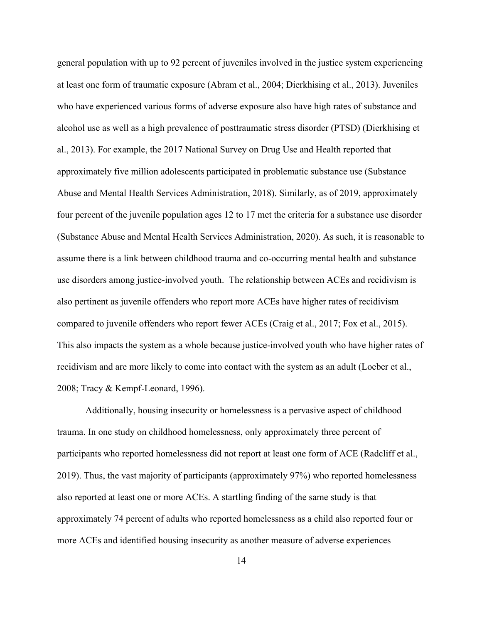general population with up to 92 percent of juveniles involved in the justice system experiencing at least one form of traumatic exposure (Abram et al., 2004; Dierkhising et al., 2013). Juveniles who have experienced various forms of adverse exposure also have high rates of substance and alcohol use as well as a high prevalence of posttraumatic stress disorder (PTSD) (Dierkhising et al., 2013). For example, the 2017 National Survey on Drug Use and Health reported that approximately five million adolescents participated in problematic substance use (Substance Abuse and Mental Health Services Administration, 2018). Similarly, as of 2019, approximately four percent of the juvenile population ages 12 to 17 met the criteria for a substance use disorder (Substance Abuse and Mental Health Services Administration, 2020). As such, it is reasonable to assume there is a link between childhood trauma and co-occurring mental health and substance use disorders among justice-involved youth. The relationship between ACEs and recidivism is also pertinent as juvenile offenders who report more ACEs have higher rates of recidivism compared to juvenile offenders who report fewer ACEs (Craig et al., 2017; Fox et al., 2015). This also impacts the system as a whole because justice-involved youth who have higher rates of recidivism and are more likely to come into contact with the system as an adult (Loeber et al., 2008; Tracy & Kempf-Leonard, 1996).

Additionally, housing insecurity or homelessness is a pervasive aspect of childhood trauma. In one study on childhood homelessness, only approximately three percent of participants who reported homelessness did not report at least one form of ACE (Radcliff et al., 2019). Thus, the vast majority of participants (approximately 97%) who reported homelessness also reported at least one or more ACEs. A startling finding of the same study is that approximately 74 percent of adults who reported homelessness as a child also reported four or more ACEs and identified housing insecurity as another measure of adverse experiences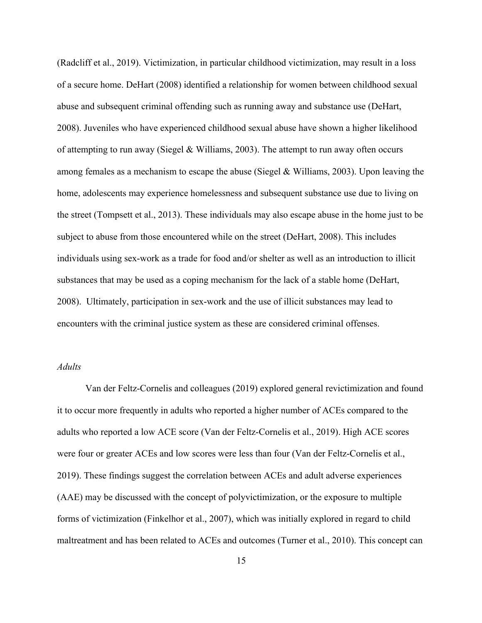(Radcliff et al., 2019). Victimization, in particular childhood victimization, may result in a loss of a secure home. DeHart (2008) identified a relationship for women between childhood sexual abuse and subsequent criminal offending such as running away and substance use (DeHart, 2008). Juveniles who have experienced childhood sexual abuse have shown a higher likelihood of attempting to run away (Siegel & Williams, 2003). The attempt to run away often occurs among females as a mechanism to escape the abuse (Siegel & Williams, 2003). Upon leaving the home, adolescents may experience homelessness and subsequent substance use due to living on the street (Tompsett et al., 2013). These individuals may also escape abuse in the home just to be subject to abuse from those encountered while on the street (DeHart, 2008). This includes individuals using sex-work as a trade for food and/or shelter as well as an introduction to illicit substances that may be used as a coping mechanism for the lack of a stable home (DeHart, 2008). Ultimately, participation in sex-work and the use of illicit substances may lead to encounters with the criminal justice system as these are considered criminal offenses.

#### *Adults*

Van der Feltz-Cornelis and colleagues (2019) explored general revictimization and found it to occur more frequently in adults who reported a higher number of ACEs compared to the adults who reported a low ACE score (Van der Feltz-Cornelis et al., 2019). High ACE scores were four or greater ACEs and low scores were less than four (Van der Feltz-Cornelis et al., 2019). These findings suggest the correlation between ACEs and adult adverse experiences (AAE) may be discussed with the concept of polyvictimization, or the exposure to multiple forms of victimization (Finkelhor et al., 2007), which was initially explored in regard to child maltreatment and has been related to ACEs and outcomes (Turner et al., 2010). This concept can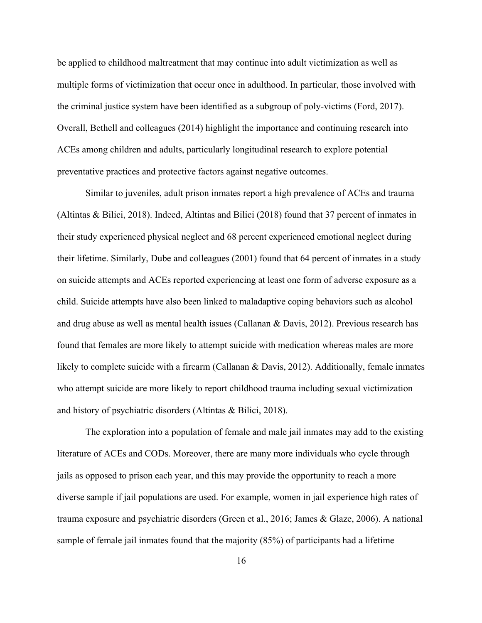be applied to childhood maltreatment that may continue into adult victimization as well as multiple forms of victimization that occur once in adulthood. In particular, those involved with the criminal justice system have been identified as a subgroup of poly-victims (Ford, 2017). Overall, Bethell and colleagues (2014) highlight the importance and continuing research into ACEs among children and adults, particularly longitudinal research to explore potential preventative practices and protective factors against negative outcomes.

Similar to juveniles, adult prison inmates report a high prevalence of ACEs and trauma (Altintas & Bilici, 2018). Indeed, Altintas and Bilici (2018) found that 37 percent of inmates in their study experienced physical neglect and 68 percent experienced emotional neglect during their lifetime. Similarly, Dube and colleagues (2001) found that 64 percent of inmates in a study on suicide attempts and ACEs reported experiencing at least one form of adverse exposure as a child. Suicide attempts have also been linked to maladaptive coping behaviors such as alcohol and drug abuse as well as mental health issues (Callanan & Davis, 2012). Previous research has found that females are more likely to attempt suicide with medication whereas males are more likely to complete suicide with a firearm (Callanan & Davis, 2012). Additionally, female inmates who attempt suicide are more likely to report childhood trauma including sexual victimization and history of psychiatric disorders (Altintas & Bilici, 2018).

The exploration into a population of female and male jail inmates may add to the existing literature of ACEs and CODs. Moreover, there are many more individuals who cycle through jails as opposed to prison each year, and this may provide the opportunity to reach a more diverse sample if jail populations are used. For example, women in jail experience high rates of trauma exposure and psychiatric disorders (Green et al., 2016; James & Glaze, 2006). A national sample of female jail inmates found that the majority (85%) of participants had a lifetime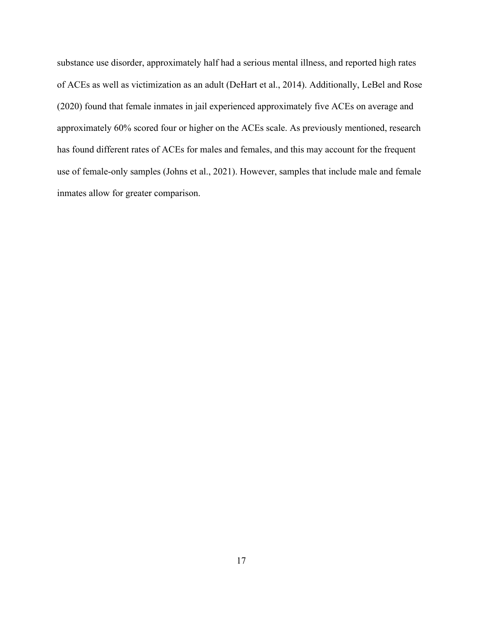substance use disorder, approximately half had a serious mental illness, and reported high rates of ACEs as well as victimization as an adult (DeHart et al., 2014). Additionally, LeBel and Rose (2020) found that female inmates in jail experienced approximately five ACEs on average and approximately 60% scored four or higher on the ACEs scale. As previously mentioned, research has found different rates of ACEs for males and females, and this may account for the frequent use of female-only samples (Johns et al., 2021). However, samples that include male and female inmates allow for greater comparison.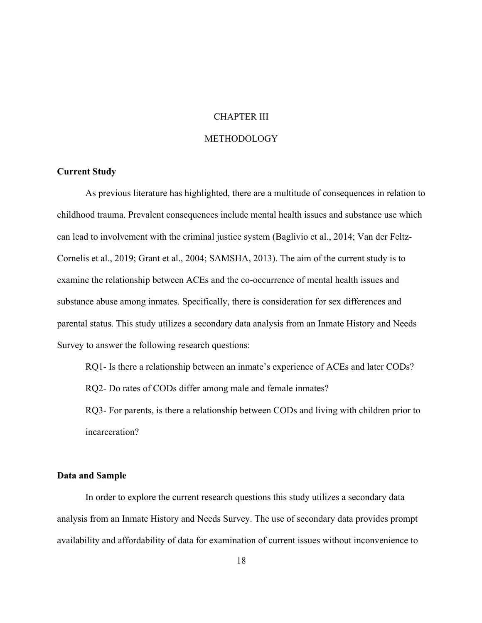#### CHAPTER III

#### METHODOLOGY

#### **Current Study**

As previous literature has highlighted, there are a multitude of consequences in relation to childhood trauma. Prevalent consequences include mental health issues and substance use which can lead to involvement with the criminal justice system (Baglivio et al., 2014; Van der Feltz-Cornelis et al., 2019; Grant et al., 2004; SAMSHA, 2013). The aim of the current study is to examine the relationship between ACEs and the co-occurrence of mental health issues and substance abuse among inmates. Specifically, there is consideration for sex differences and parental status. This study utilizes a secondary data analysis from an Inmate History and Needs Survey to answer the following research questions:

RQ1- Is there a relationship between an inmate's experience of ACEs and later CODs?

RQ2- Do rates of CODs differ among male and female inmates?

RQ3- For parents, is there a relationship between CODs and living with children prior to incarceration?

#### **Data and Sample**

In order to explore the current research questions this study utilizes a secondary data analysis from an Inmate History and Needs Survey. The use of secondary data provides prompt availability and affordability of data for examination of current issues without inconvenience to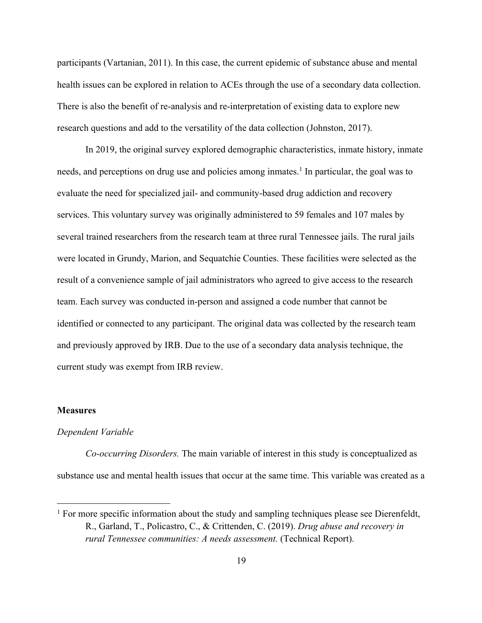participants (Vartanian, 2011). In this case, the current epidemic of substance abuse and mental health issues can be explored in relation to ACEs through the use of a secondary data collection. There is also the benefit of re-analysis and re-interpretation of existing data to explore new research questions and add to the versatility of the data collection (Johnston, 2017).

In 2019, the original survey explored demographic characteristics, inmate history, inmate needs, and perceptions on drug use and policies among inmates.<sup>1</sup> In particular, the goal was to evaluate the need for specialized jail- and community-based drug addiction and recovery services. This voluntary survey was originally administered to 59 females and 107 males by several trained researchers from the research team at three rural Tennessee jails. The rural jails were located in Grundy, Marion, and Sequatchie Counties. These facilities were selected as the result of a convenience sample of jail administrators who agreed to give access to the research team. Each survey was conducted in-person and assigned a code number that cannot be identified or connected to any participant. The original data was collected by the research team and previously approved by IRB. Due to the use of a secondary data analysis technique, the current study was exempt from IRB review.

#### **Measures**

#### *Dependent Variable*

*Co-occurring Disorders.* The main variable of interest in this study is conceptualized as substance use and mental health issues that occur at the same time. This variable was created as a

 $1$  For more specific information about the study and sampling techniques please see Dierenfeldt, R., Garland, T., Policastro, C., & Crittenden, C. (2019). *Drug abuse and recovery in rural Tennessee communities: A needs assessment.* (Technical Report).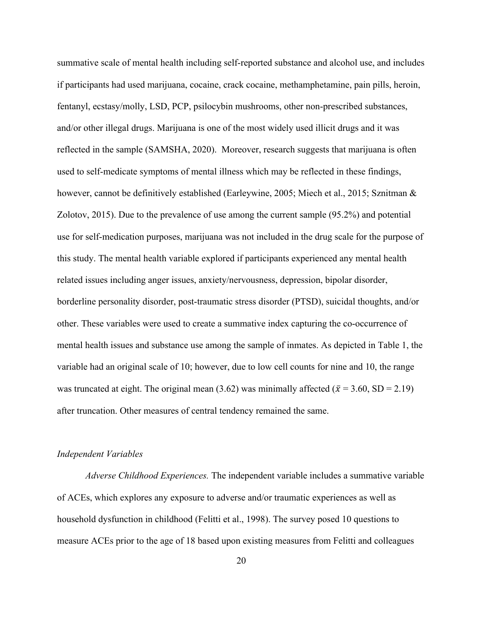summative scale of mental health including self-reported substance and alcohol use, and includes if participants had used marijuana, cocaine, crack cocaine, methamphetamine, pain pills, heroin, fentanyl, ecstasy/molly, LSD, PCP, psilocybin mushrooms, other non-prescribed substances, and/or other illegal drugs. Marijuana is one of the most widely used illicit drugs and it was reflected in the sample (SAMSHA, 2020). Moreover, research suggests that marijuana is often used to self-medicate symptoms of mental illness which may be reflected in these findings, however, cannot be definitively established (Earleywine, 2005; Miech et al., 2015; Sznitman & Zolotov, 2015). Due to the prevalence of use among the current sample (95.2%) and potential use for self-medication purposes, marijuana was not included in the drug scale for the purpose of this study. The mental health variable explored if participants experienced any mental health related issues including anger issues, anxiety/nervousness, depression, bipolar disorder, borderline personality disorder, post-traumatic stress disorder (PTSD), suicidal thoughts, and/or other. These variables were used to create a summative index capturing the co-occurrence of mental health issues and substance use among the sample of inmates. As depicted in Table 1, the variable had an original scale of 10; however, due to low cell counts for nine and 10, the range was truncated at eight. The original mean (3.62) was minimally affected ( $\bar{x}$  = 3.60, SD = 2.19) after truncation. Other measures of central tendency remained the same.

#### *Independent Variables*

*Adverse Childhood Experiences.* The independent variable includes a summative variable of ACEs, which explores any exposure to adverse and/or traumatic experiences as well as household dysfunction in childhood (Felitti et al., 1998). The survey posed 10 questions to measure ACEs prior to the age of 18 based upon existing measures from Felitti and colleagues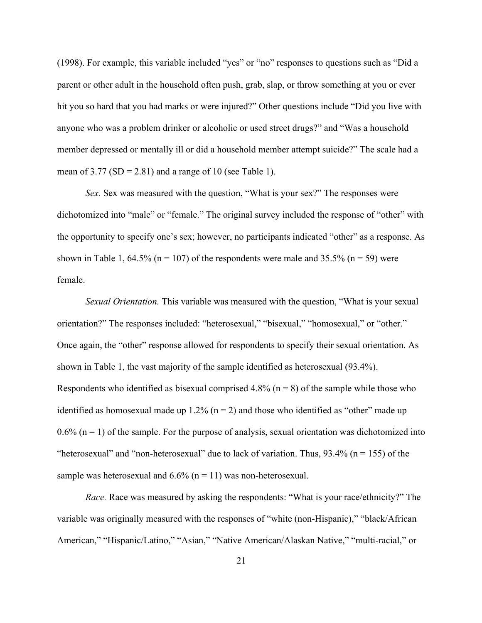(1998). For example, this variable included "yes" or "no" responses to questions such as "Did a parent or other adult in the household often push, grab, slap, or throw something at you or ever hit you so hard that you had marks or were injured?" Other questions include "Did you live with anyone who was a problem drinker or alcoholic or used street drugs?" and "Was a household member depressed or mentally ill or did a household member attempt suicide?" The scale had a mean of  $3.77$  (SD = 2.81) and a range of 10 (see Table 1).

*Sex.* Sex was measured with the question, "What is your sex?" The responses were dichotomized into "male" or "female." The original survey included the response of "other" with the opportunity to specify one's sex; however, no participants indicated "other" as a response. As shown in Table 1, 64.5% ( $n = 107$ ) of the respondents were male and 35.5% ( $n = 59$ ) were female.

*Sexual Orientation.* This variable was measured with the question, "What is your sexual orientation?" The responses included: "heterosexual," "bisexual," "homosexual," or "other." Once again, the "other" response allowed for respondents to specify their sexual orientation. As shown in Table 1, the vast majority of the sample identified as heterosexual (93.4%). Respondents who identified as bisexual comprised  $4.8\%$  (n = 8) of the sample while those who identified as homosexual made up  $1.2\%$  (n = 2) and those who identified as "other" made up  $0.6\%$  (n = 1) of the sample. For the purpose of analysis, sexual orientation was dichotomized into "heterosexual" and "non-heterosexual" due to lack of variation. Thus,  $93.4\%$  (n = 155) of the sample was heterosexual and  $6.6\%$  (n = 11) was non-heterosexual.

*Race.* Race was measured by asking the respondents: "What is your race/ethnicity?" The variable was originally measured with the responses of "white (non-Hispanic)," "black/African American," "Hispanic/Latino," "Asian," "Native American/Alaskan Native," "multi-racial," or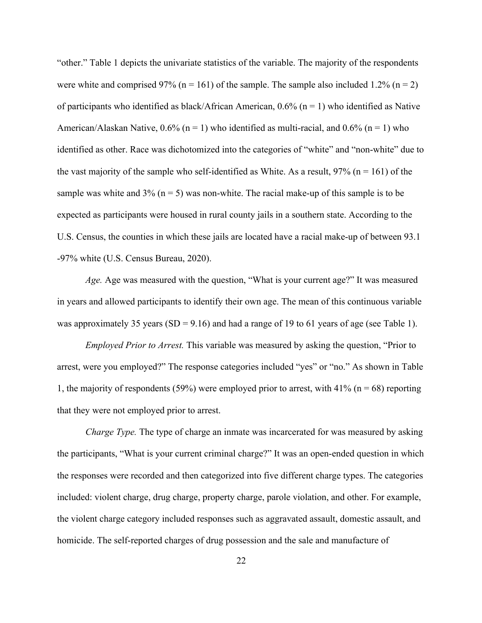"other." Table 1 depicts the univariate statistics of the variable. The majority of the respondents were white and comprised 97% ( $n = 161$ ) of the sample. The sample also included 1.2% ( $n = 2$ ) of participants who identified as black/African American,  $0.6\%$  (n = 1) who identified as Native American/Alaskan Native,  $0.6\%$  (n = 1) who identified as multi-racial, and  $0.6\%$  (n = 1) who identified as other. Race was dichotomized into the categories of "white" and "non-white" due to the vast majority of the sample who self-identified as White. As a result,  $97\%$  (n = 161) of the sample was white and 3% ( $n = 5$ ) was non-white. The racial make-up of this sample is to be expected as participants were housed in rural county jails in a southern state. According to the U.S. Census, the counties in which these jails are located have a racial make-up of between 93.1 -97% white (U.S. Census Bureau, 2020).

*Age.* Age was measured with the question, "What is your current age?" It was measured in years and allowed participants to identify their own age. The mean of this continuous variable was approximately 35 years (SD = 9.16) and had a range of 19 to 61 years of age (see Table 1).

*Employed Prior to Arrest.* This variable was measured by asking the question, "Prior to arrest, were you employed?" The response categories included "yes" or "no." As shown in Table 1, the majority of respondents (59%) were employed prior to arrest, with 41% ( $n = 68$ ) reporting that they were not employed prior to arrest.

*Charge Type.* The type of charge an inmate was incarcerated for was measured by asking the participants, "What is your current criminal charge?" It was an open-ended question in which the responses were recorded and then categorized into five different charge types. The categories included: violent charge, drug charge, property charge, parole violation, and other. For example, the violent charge category included responses such as aggravated assault, domestic assault, and homicide. The self-reported charges of drug possession and the sale and manufacture of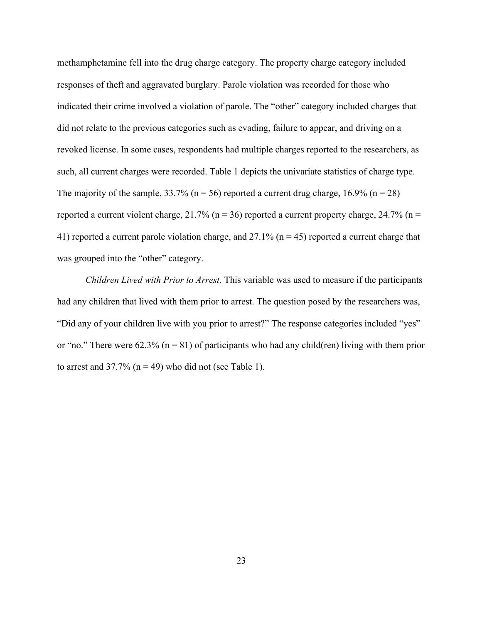methamphetamine fell into the drug charge category. The property charge category included responses of theft and aggravated burglary. Parole violation was recorded for those who indicated their crime involved a violation of parole. The "other" category included charges that did not relate to the previous categories such as evading, failure to appear, and driving on a revoked license. In some cases, respondents had multiple charges reported to the researchers, as such, all current charges were recorded. Table 1 depicts the univariate statistics of charge type. The majority of the sample,  $33.7\%$  (n = 56) reported a current drug charge,  $16.9\%$  (n = 28) reported a current violent charge,  $21.7\%$  (n = 36) reported a current property charge,  $24.7\%$  (n = 41) reported a current parole violation charge, and  $27.1\%$  (n = 45) reported a current charge that was grouped into the "other" category.

*Children Lived with Prior to Arrest.* This variable was used to measure if the participants had any children that lived with them prior to arrest. The question posed by the researchers was, "Did any of your children live with you prior to arrest?" The response categories included "yes" or "no." There were 62.3% ( $n = 81$ ) of participants who had any child(ren) living with them prior to arrest and  $37.7\%$  (n = 49) who did not (see Table 1).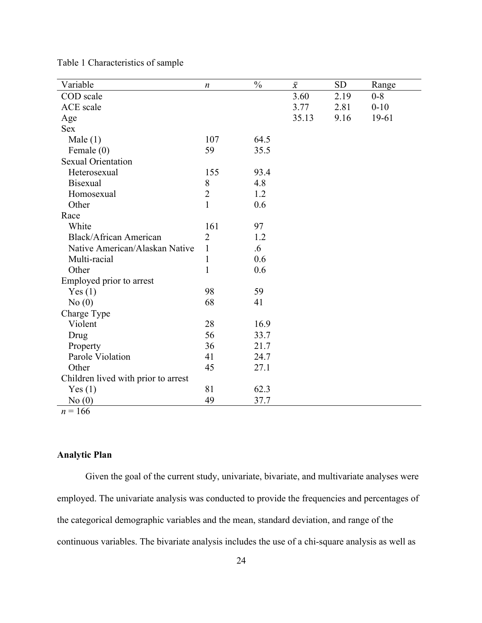| Variable                            | $\boldsymbol{n}$ | $\frac{0}{0}$ | $\bar{\chi}$ | <b>SD</b> | Range    |
|-------------------------------------|------------------|---------------|--------------|-----------|----------|
| COD scale                           |                  |               | 3.60         | 2.19      | $0 - 8$  |
| <b>ACE</b> scale                    |                  |               | 3.77         | 2.81      | $0 - 10$ |
| Age                                 |                  |               | 35.13        | 9.16      | 19-61    |
| <b>Sex</b>                          |                  |               |              |           |          |
| Male $(1)$                          | 107              | 64.5          |              |           |          |
| Female (0)                          | 59               | 35.5          |              |           |          |
| <b>Sexual Orientation</b>           |                  |               |              |           |          |
| Heterosexual                        | 155              | 93.4          |              |           |          |
| <b>Bisexual</b>                     | 8                | 4.8           |              |           |          |
| Homosexual                          | $\overline{2}$   | 1.2           |              |           |          |
| Other                               | $\mathbf{1}$     | 0.6           |              |           |          |
| Race                                |                  |               |              |           |          |
| White                               | 161              | 97            |              |           |          |
| Black/African American              | $\overline{2}$   | 1.2           |              |           |          |
| Native American/Alaskan Native      | $\mathbf{1}$     | $.6\,$        |              |           |          |
| Multi-racial                        | $\mathbf{1}$     | 0.6           |              |           |          |
| Other                               | $\mathbf{1}$     | 0.6           |              |           |          |
| Employed prior to arrest            |                  |               |              |           |          |
| Yes(1)                              | 98               | 59            |              |           |          |
| No(0)                               | 68               | 41            |              |           |          |
| Charge Type                         |                  |               |              |           |          |
| Violent                             | 28               | 16.9          |              |           |          |
| Drug                                | 56               | 33.7          |              |           |          |
| Property                            | 36               | 21.7          |              |           |          |
| Parole Violation                    | 41               | 24.7          |              |           |          |
| Other                               | 45               | 27.1          |              |           |          |
| Children lived with prior to arrest |                  |               |              |           |          |
| Yes(1)                              | 81               | 62.3          |              |           |          |
| No(0)                               | 49               | 37.7          |              |           |          |
| $n = 166$                           |                  |               |              |           |          |

Table 1 Characteristics of sample

### **Analytic Plan**

Given the goal of the current study, univariate, bivariate, and multivariate analyses were employed. The univariate analysis was conducted to provide the frequencies and percentages of the categorical demographic variables and the mean, standard deviation, and range of the continuous variables. The bivariate analysis includes the use of a chi-square analysis as well as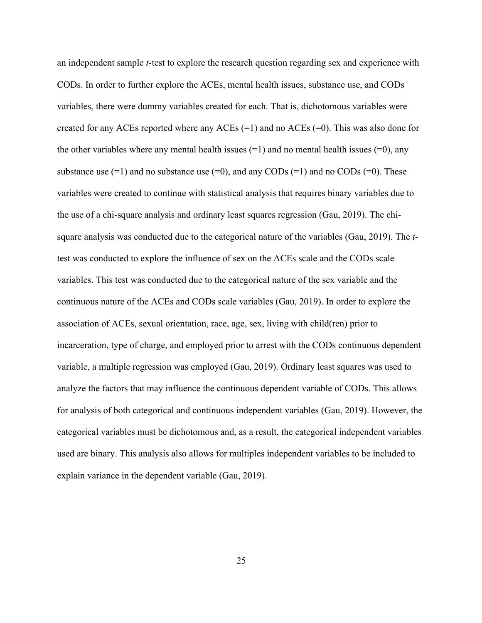an independent sample *t*-test to explore the research question regarding sex and experience with CODs. In order to further explore the ACEs, mental health issues, substance use, and CODs variables, there were dummy variables created for each. That is, dichotomous variables were created for any ACEs reported where any ACEs  $(=1)$  and no ACEs  $(=0)$ . This was also done for the other variables where any mental health issues  $(=1)$  and no mental health issues  $(=0)$ , any substance use  $(=1)$  and no substance use  $(=0)$ , and any CODs  $(=1)$  and no CODs  $(=0)$ . These variables were created to continue with statistical analysis that requires binary variables due to the use of a chi-square analysis and ordinary least squares regression (Gau, 2019). The chisquare analysis was conducted due to the categorical nature of the variables (Gau, 2019). The *t*test was conducted to explore the influence of sex on the ACEs scale and the CODs scale variables. This test was conducted due to the categorical nature of the sex variable and the continuous nature of the ACEs and CODs scale variables (Gau, 2019). In order to explore the association of ACEs, sexual orientation, race, age, sex, living with child(ren) prior to incarceration, type of charge, and employed prior to arrest with the CODs continuous dependent variable, a multiple regression was employed (Gau, 2019). Ordinary least squares was used to analyze the factors that may influence the continuous dependent variable of CODs. This allows for analysis of both categorical and continuous independent variables (Gau, 2019). However, the categorical variables must be dichotomous and, as a result, the categorical independent variables used are binary. This analysis also allows for multiples independent variables to be included to explain variance in the dependent variable (Gau, 2019).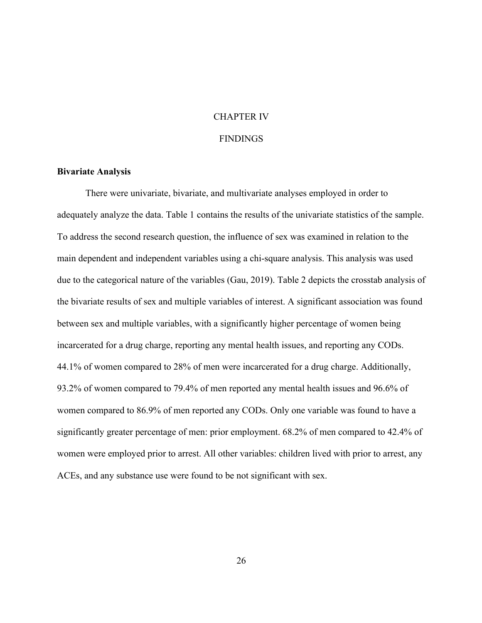#### CHAPTER IV

#### **FINDINGS**

#### **Bivariate Analysis**

There were univariate, bivariate, and multivariate analyses employed in order to adequately analyze the data. Table 1 contains the results of the univariate statistics of the sample. To address the second research question, the influence of sex was examined in relation to the main dependent and independent variables using a chi-square analysis. This analysis was used due to the categorical nature of the variables (Gau, 2019). Table 2 depicts the crosstab analysis of the bivariate results of sex and multiple variables of interest. A significant association was found between sex and multiple variables, with a significantly higher percentage of women being incarcerated for a drug charge, reporting any mental health issues, and reporting any CODs. 44.1% of women compared to 28% of men were incarcerated for a drug charge. Additionally, 93.2% of women compared to 79.4% of men reported any mental health issues and 96.6% of women compared to 86.9% of men reported any CODs. Only one variable was found to have a significantly greater percentage of men: prior employment. 68.2% of men compared to 42.4% of women were employed prior to arrest. All other variables: children lived with prior to arrest, any ACEs, and any substance use were found to be not significant with sex.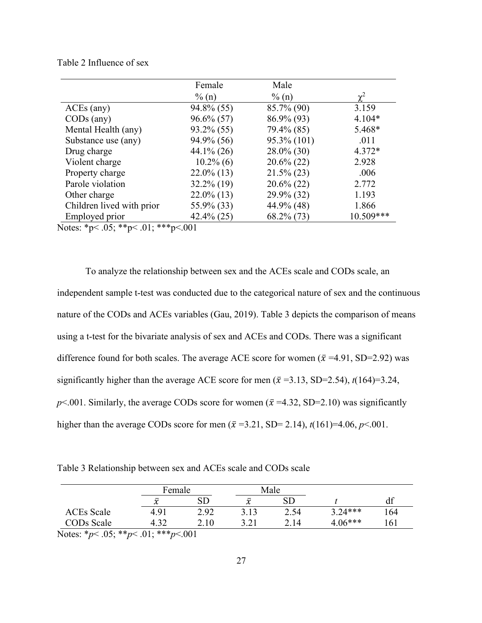#### Table 2 Influence of sex

|                           | Female        | Male          |           |
|---------------------------|---------------|---------------|-----------|
|                           | $\%$ (n)      | $\%$ (n)      |           |
| $ACEs$ (any)              | $94.8\%$ (55) | 85.7% (90)    | 3.159     |
| $CODs$ (any)              | $96.6\% (57)$ | 86.9% (93)    | $4.104*$  |
| Mental Health (any)       | $93.2\% (55)$ | 79.4% (85)    | 5.468*    |
| Substance use (any)       | 94.9% (56)    | 95.3% (101)   | .011      |
| Drug charge               | $44.1\% (26)$ | $28.0\%$ (30) | $4.372*$  |
| Violent charge            | $10.2\%$ (6)  | $20.6\%$ (22) | 2.928     |
| Property charge           | $22.0\%$ (13) | $21.5\% (23)$ | .006      |
| Parole violation          | $32.2\%$ (19) | $20.6\%$ (22) | 2.772     |
| Other charge              | $22.0\%$ (13) | 29.9% (32)    | 1.193     |
| Children lived with prior | 55.9% (33)    | 44.9% (48)    | 1.866     |
| Employed prior            | $42.4\%$ (25) | $68.2\%$ (73) | 10.509*** |

Notes: \*p< .05; \*\*p< .01; \*\*\*p<.001

To analyze the relationship between sex and the ACEs scale and CODs scale, an independent sample t-test was conducted due to the categorical nature of sex and the continuous nature of the CODs and ACEs variables (Gau, 2019). Table 3 depicts the comparison of means using a t-test for the bivariate analysis of sex and ACEs and CODs. There was a significant difference found for both scales. The average ACE score for women ( $\bar{x}$  =4.91, SD=2.92) was significantly higher than the average ACE score for men  $(\bar{x} = 3.13, SD = 2.54)$ ,  $t(164)=3.24$ ,  $p<.001$ . Similarly, the average CODs score for women ( $\bar{x}$  =4.32, SD=2.10) was significantly higher than the average CODs score for men ( $\bar{x}$  =3.21, SD= 2.14),  $t(161)$ =4.06,  $p<0.001$ .

Table 3 Relationship between sex and ACEs scale and CODs scale

|            |               | Female |              | Male       |           |     |
|------------|---------------|--------|--------------|------------|-----------|-----|
|            | $\mathcal{X}$ | SD     | $\bar{\chi}$ | ${\rm SD}$ |           | df  |
| ACEs Scale | 4.91          | 2.92   | 3.13         | 2.54       | $3.24***$ | 164 |
| CODs Scale | 4.32          | 2.10   | 3.21         | 2.14       | $4.06***$ | 161 |

Notes: \**p*< .05; \*\**p*< .01; \*\*\**p*<.001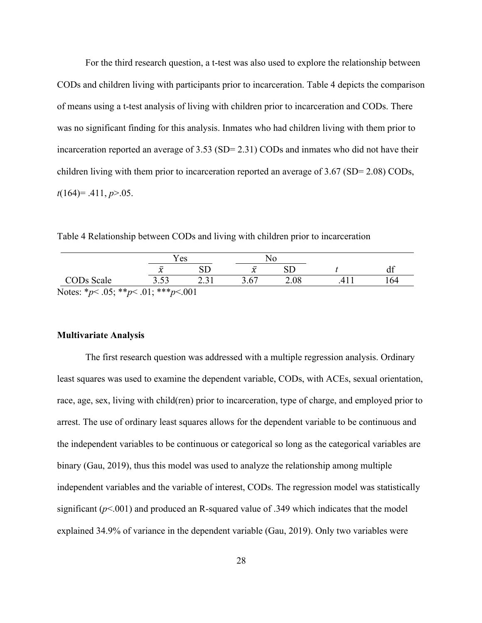For the third research question, a t-test was also used to explore the relationship between CODs and children living with participants prior to incarceration. Table 4 depicts the comparison of means using a t-test analysis of living with children prior to incarceration and CODs. There was no significant finding for this analysis. Inmates who had children living with them prior to incarceration reported an average of  $3.53$  (SD=  $2.31$ ) CODs and inmates who did not have their children living with them prior to incarceration reported an average of 3.67 (SD= 2.08) CODs, *t*(164)= .411, *p*>.05.

Table 4 Relationship between CODs and living with children prior to incarceration

|                                                  |      | Y es<br>No |             |      |     |
|--------------------------------------------------|------|------------|-------------|------|-----|
|                                                  |      |            | $\mathbf v$ |      | df  |
| CODs Scale                                       | 3.53 |            | 3.67        | 2.08 | 164 |
| Notes: * $p$ < .05; ** $p$ < .01; *** $p$ < .001 |      |            |             |      |     |

#### **Multivariate Analysis**

The first research question was addressed with a multiple regression analysis. Ordinary least squares was used to examine the dependent variable, CODs, with ACEs, sexual orientation, race, age, sex, living with child(ren) prior to incarceration, type of charge, and employed prior to arrest. The use of ordinary least squares allows for the dependent variable to be continuous and the independent variables to be continuous or categorical so long as the categorical variables are binary (Gau, 2019), thus this model was used to analyze the relationship among multiple independent variables and the variable of interest, CODs. The regression model was statistically significant  $(p<.001)$  and produced an R-squared value of .349 which indicates that the model explained 34.9% of variance in the dependent variable (Gau, 2019). Only two variables were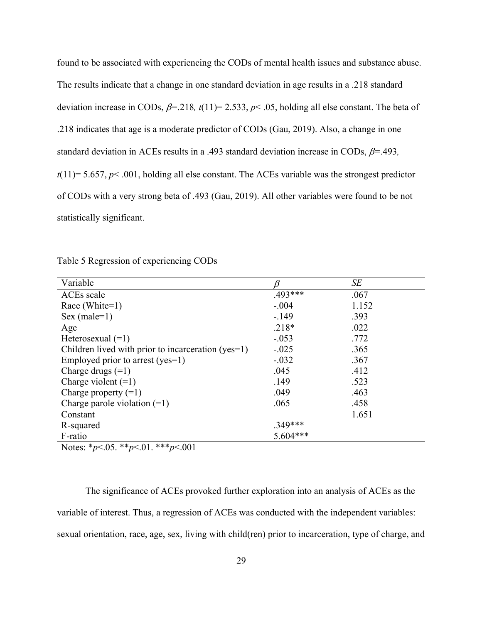found to be associated with experiencing the CODs of mental health issues and substance abuse. The results indicate that a change in one standard deviation in age results in a .218 standard deviation increase in CODs,  $\beta$ =.218*, t*(11)= 2.533,  $p$ < .05, holding all else constant. The beta of .218 indicates that age is a moderate predictor of CODs (Gau, 2019). Also, a change in one standard deviation in ACEs results in a .493 standard deviation increase in CODs,  $\beta$ =.493*,*  $t(11)=$  5.657,  $p$ < .001, holding all else constant. The ACEs variable was the strongest predictor of CODs with a very strong beta of .493 (Gau, 2019). All other variables were found to be not statistically significant.

Table 5 Regression of experiencing CODs

| Variable                                           |            | SE    |
|----------------------------------------------------|------------|-------|
| ACEs scale                                         | $.493***$  | .067  |
| Race (White=1)                                     | $-.004$    | 1.152 |
| $Sex (male=1)$                                     | $-.149$    | .393  |
| Age                                                | $.218*$    | .022  |
| Heterosexual $(=1)$                                | $-.053$    | .772  |
| Children lived with prior to incarceration (yes=1) | $-.025$    | .365  |
| Employed prior to arrest (yes=1)                   | $-.032$    | .367  |
| Charge drugs $(=1)$                                | .045       | .412  |
| Charge violent $(=1)$                              | .149       | .523  |
| Charge property $(=1)$                             | .049       | .463  |
| Charge parole violation $(=1)$                     | .065       | .458  |
| Constant                                           |            | 1.651 |
| R-squared                                          | $.349***$  |       |
| F-ratio                                            | $5.604***$ |       |

Notes: \**p*<.05. \*\**p*<.01. \*\*\**p*<.001

The significance of ACEs provoked further exploration into an analysis of ACEs as the variable of interest. Thus, a regression of ACEs was conducted with the independent variables: sexual orientation, race, age, sex, living with child(ren) prior to incarceration, type of charge, and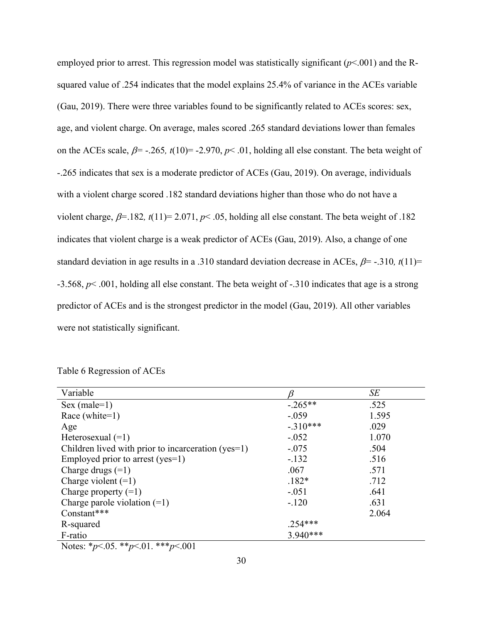employed prior to arrest. This regression model was statistically significant (*p*<.001) and the Rsquared value of .254 indicates that the model explains 25.4% of variance in the ACEs variable (Gau, 2019). There were three variables found to be significantly related to ACEs scores: sex, age, and violent charge. On average, males scored .265 standard deviations lower than females on the ACEs scale,  $\beta$ = -.265, t(10)= -2.970,  $p$ < .01, holding all else constant. The beta weight of -.265 indicates that sex is a moderate predictor of ACEs (Gau, 2019). On average, individuals with a violent charge scored .182 standard deviations higher than those who do not have a violent charge,  $\beta$ =.182,  $t(11)$ = 2.071,  $p$ <.05, holding all else constant. The beta weight of .182 indicates that violent charge is a weak predictor of ACEs (Gau, 2019). Also, a change of one standard deviation in age results in a .310 standard deviation decrease in ACEs,  $\beta$ = -.310,  $t(11)$ = -3.568, *p*< .001, holding all else constant. The beta weight of -.310 indicates that age is a strong predictor of ACEs and is the strongest predictor in the model (Gau, 2019). All other variables were not statistically significant.

|  | Table 6 Regression of ACEs |  |  |
|--|----------------------------|--|--|
|  |                            |  |  |

| Variable                                           |            | SE    |
|----------------------------------------------------|------------|-------|
| $Sex (male=1)$                                     | $-.265**$  | .525  |
| Race (white= $1$ )                                 | $-.059$    | 1.595 |
| Age                                                | $-.310***$ | .029  |
| Heterosexual $(=1)$                                | $-.052$    | 1.070 |
| Children lived with prior to incarceration (yes=1) | $-.075$    | .504  |
| Employed prior to arrest (yes=1)                   | $-.132$    | .516  |
| Charge drugs $(=1)$                                | .067       | .571  |
| Charge violent $(=1)$                              | $.182*$    | .712  |
| Charge property $(=1)$                             | $-.051$    | .641  |
| Charge parole violation $(=1)$                     | $-.120$    | .631  |
| Constant***                                        |            | 2.064 |
| R-squared                                          | $.254***$  |       |
| F-ratio                                            | $3.940***$ |       |

Notes: \**p*<.05. \*\**p*<.01. \*\*\**p*<.001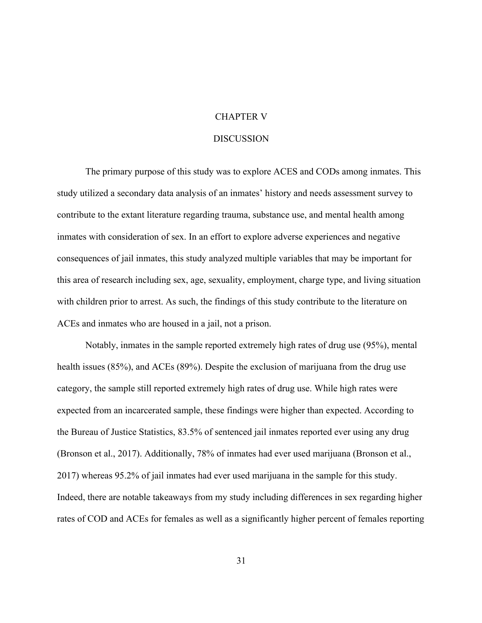#### CHAPTER V

#### **DISCUSSION**

The primary purpose of this study was to explore ACES and CODs among inmates. This study utilized a secondary data analysis of an inmates' history and needs assessment survey to contribute to the extant literature regarding trauma, substance use, and mental health among inmates with consideration of sex. In an effort to explore adverse experiences and negative consequences of jail inmates, this study analyzed multiple variables that may be important for this area of research including sex, age, sexuality, employment, charge type, and living situation with children prior to arrest. As such, the findings of this study contribute to the literature on ACEs and inmates who are housed in a jail, not a prison.

Notably, inmates in the sample reported extremely high rates of drug use (95%), mental health issues (85%), and ACEs (89%). Despite the exclusion of marijuana from the drug use category, the sample still reported extremely high rates of drug use. While high rates were expected from an incarcerated sample, these findings were higher than expected. According to the Bureau of Justice Statistics, 83.5% of sentenced jail inmates reported ever using any drug (Bronson et al., 2017). Additionally, 78% of inmates had ever used marijuana (Bronson et al., 2017) whereas 95.2% of jail inmates had ever used marijuana in the sample for this study. Indeed, there are notable takeaways from my study including differences in sex regarding higher rates of COD and ACEs for females as well as a significantly higher percent of females reporting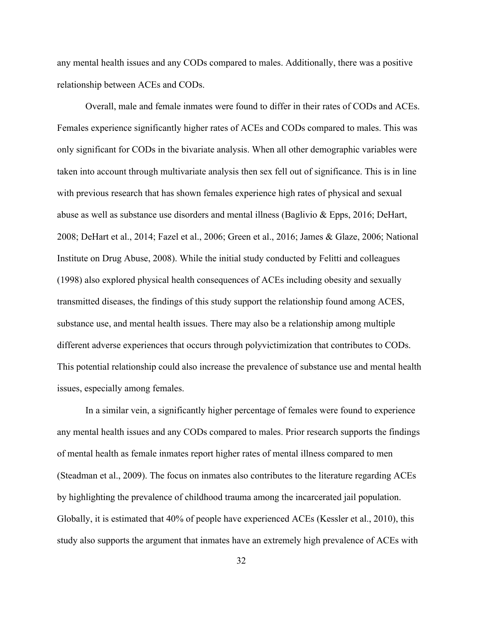any mental health issues and any CODs compared to males. Additionally, there was a positive relationship between ACEs and CODs.

Overall, male and female inmates were found to differ in their rates of CODs and ACEs. Females experience significantly higher rates of ACEs and CODs compared to males. This was only significant for CODs in the bivariate analysis. When all other demographic variables were taken into account through multivariate analysis then sex fell out of significance. This is in line with previous research that has shown females experience high rates of physical and sexual abuse as well as substance use disorders and mental illness (Baglivio & Epps, 2016; DeHart, 2008; DeHart et al., 2014; Fazel et al., 2006; Green et al., 2016; James & Glaze, 2006; National Institute on Drug Abuse, 2008). While the initial study conducted by Felitti and colleagues (1998) also explored physical health consequences of ACEs including obesity and sexually transmitted diseases, the findings of this study support the relationship found among ACES, substance use, and mental health issues. There may also be a relationship among multiple different adverse experiences that occurs through polyvictimization that contributes to CODs. This potential relationship could also increase the prevalence of substance use and mental health issues, especially among females.

In a similar vein, a significantly higher percentage of females were found to experience any mental health issues and any CODs compared to males. Prior research supports the findings of mental health as female inmates report higher rates of mental illness compared to men (Steadman et al., 2009). The focus on inmates also contributes to the literature regarding ACEs by highlighting the prevalence of childhood trauma among the incarcerated jail population. Globally, it is estimated that 40% of people have experienced ACEs (Kessler et al., 2010), this study also supports the argument that inmates have an extremely high prevalence of ACEs with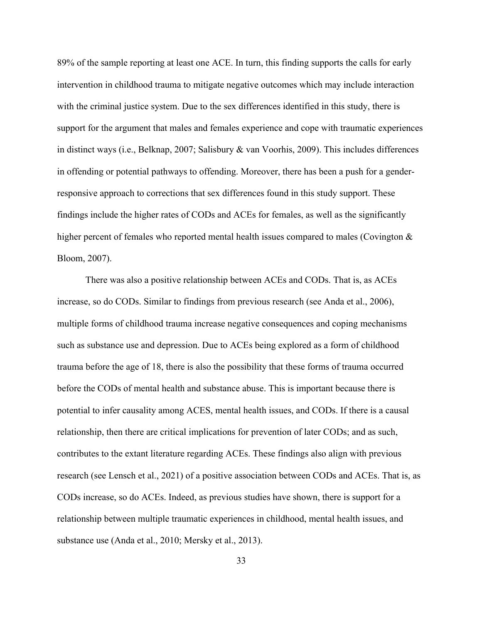89% of the sample reporting at least one ACE. In turn, this finding supports the calls for early intervention in childhood trauma to mitigate negative outcomes which may include interaction with the criminal justice system. Due to the sex differences identified in this study, there is support for the argument that males and females experience and cope with traumatic experiences in distinct ways (i.e., Belknap, 2007; Salisbury & van Voorhis, 2009). This includes differences in offending or potential pathways to offending. Moreover, there has been a push for a genderresponsive approach to corrections that sex differences found in this study support. These findings include the higher rates of CODs and ACEs for females, as well as the significantly higher percent of females who reported mental health issues compared to males (Covington & Bloom, 2007).

There was also a positive relationship between ACEs and CODs. That is, as ACEs increase, so do CODs. Similar to findings from previous research (see Anda et al., 2006), multiple forms of childhood trauma increase negative consequences and coping mechanisms such as substance use and depression. Due to ACEs being explored as a form of childhood trauma before the age of 18, there is also the possibility that these forms of trauma occurred before the CODs of mental health and substance abuse. This is important because there is potential to infer causality among ACES, mental health issues, and CODs. If there is a causal relationship, then there are critical implications for prevention of later CODs; and as such, contributes to the extant literature regarding ACEs. These findings also align with previous research (see Lensch et al., 2021) of a positive association between CODs and ACEs. That is, as CODs increase, so do ACEs. Indeed, as previous studies have shown, there is support for a relationship between multiple traumatic experiences in childhood, mental health issues, and substance use (Anda et al., 2010; Mersky et al., 2013).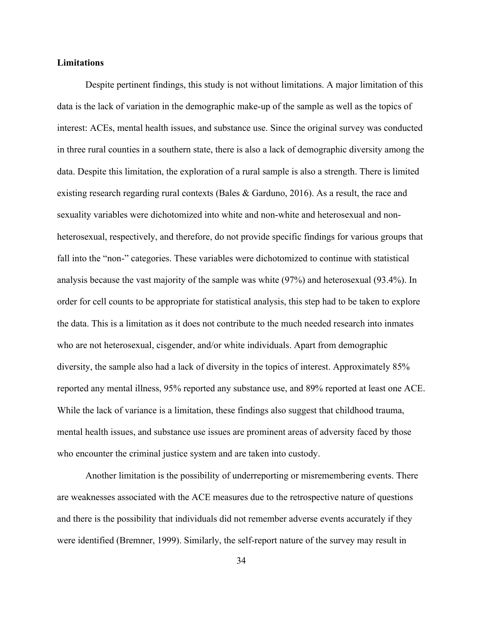#### **Limitations**

Despite pertinent findings, this study is not without limitations. A major limitation of this data is the lack of variation in the demographic make-up of the sample as well as the topics of interest: ACEs, mental health issues, and substance use. Since the original survey was conducted in three rural counties in a southern state, there is also a lack of demographic diversity among the data. Despite this limitation, the exploration of a rural sample is also a strength. There is limited existing research regarding rural contexts (Bales & Garduno, 2016). As a result, the race and sexuality variables were dichotomized into white and non-white and heterosexual and nonheterosexual, respectively, and therefore, do not provide specific findings for various groups that fall into the "non-" categories. These variables were dichotomized to continue with statistical analysis because the vast majority of the sample was white (97%) and heterosexual (93.4%). In order for cell counts to be appropriate for statistical analysis, this step had to be taken to explore the data. This is a limitation as it does not contribute to the much needed research into inmates who are not heterosexual, cisgender, and/or white individuals. Apart from demographic diversity, the sample also had a lack of diversity in the topics of interest. Approximately 85% reported any mental illness, 95% reported any substance use, and 89% reported at least one ACE. While the lack of variance is a limitation, these findings also suggest that childhood trauma, mental health issues, and substance use issues are prominent areas of adversity faced by those who encounter the criminal justice system and are taken into custody.

Another limitation is the possibility of underreporting or misremembering events. There are weaknesses associated with the ACE measures due to the retrospective nature of questions and there is the possibility that individuals did not remember adverse events accurately if they were identified (Bremner, 1999). Similarly, the self-report nature of the survey may result in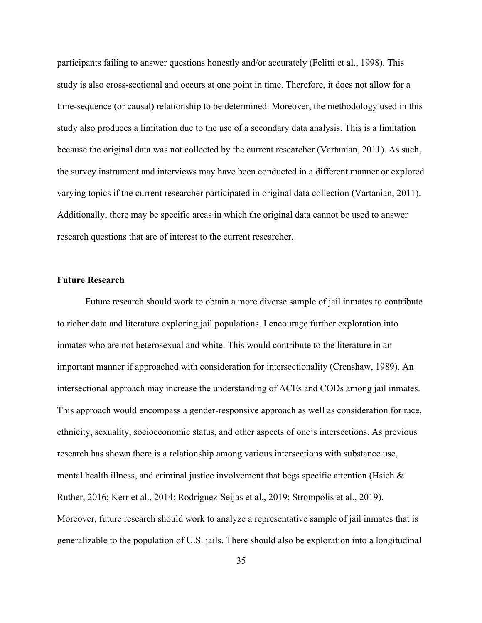participants failing to answer questions honestly and/or accurately (Felitti et al., 1998). This study is also cross-sectional and occurs at one point in time. Therefore, it does not allow for a time-sequence (or causal) relationship to be determined. Moreover, the methodology used in this study also produces a limitation due to the use of a secondary data analysis. This is a limitation because the original data was not collected by the current researcher (Vartanian, 2011). As such, the survey instrument and interviews may have been conducted in a different manner or explored varying topics if the current researcher participated in original data collection (Vartanian, 2011). Additionally, there may be specific areas in which the original data cannot be used to answer research questions that are of interest to the current researcher.

#### **Future Research**

Future research should work to obtain a more diverse sample of jail inmates to contribute to richer data and literature exploring jail populations. I encourage further exploration into inmates who are not heterosexual and white. This would contribute to the literature in an important manner if approached with consideration for intersectionality (Crenshaw, 1989). An intersectional approach may increase the understanding of ACEs and CODs among jail inmates. This approach would encompass a gender-responsive approach as well as consideration for race, ethnicity, sexuality, socioeconomic status, and other aspects of one's intersections. As previous research has shown there is a relationship among various intersections with substance use, mental health illness, and criminal justice involvement that begs specific attention (Hsieh & Ruther, 2016; Kerr et al., 2014; Rodriguez-Seijas et al., 2019; Strompolis et al., 2019). Moreover, future research should work to analyze a representative sample of jail inmates that is generalizable to the population of U.S. jails. There should also be exploration into a longitudinal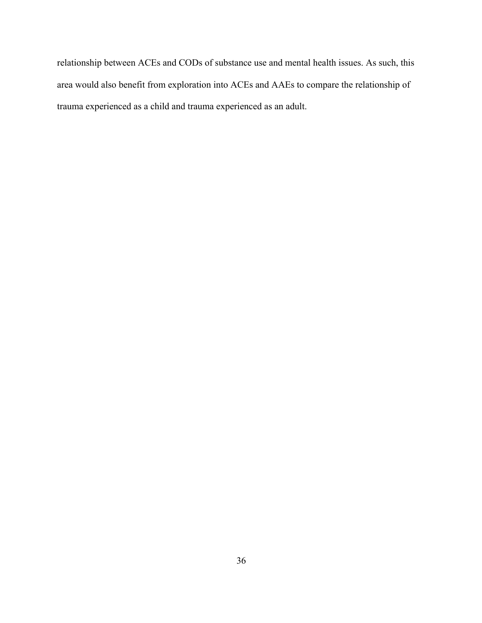relationship between ACEs and CODs of substance use and mental health issues. As such, this area would also benefit from exploration into ACEs and AAEs to compare the relationship of trauma experienced as a child and trauma experienced as an adult.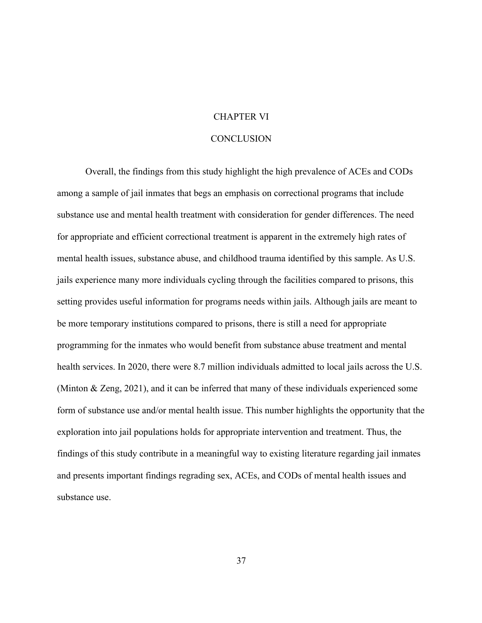#### CHAPTER VI

#### **CONCLUSION**

Overall, the findings from this study highlight the high prevalence of ACEs and CODs among a sample of jail inmates that begs an emphasis on correctional programs that include substance use and mental health treatment with consideration for gender differences. The need for appropriate and efficient correctional treatment is apparent in the extremely high rates of mental health issues, substance abuse, and childhood trauma identified by this sample. As U.S. jails experience many more individuals cycling through the facilities compared to prisons, this setting provides useful information for programs needs within jails. Although jails are meant to be more temporary institutions compared to prisons, there is still a need for appropriate programming for the inmates who would benefit from substance abuse treatment and mental health services. In 2020, there were 8.7 million individuals admitted to local jails across the U.S. (Minton & Zeng, 2021), and it can be inferred that many of these individuals experienced some form of substance use and/or mental health issue. This number highlights the opportunity that the exploration into jail populations holds for appropriate intervention and treatment. Thus, the findings of this study contribute in a meaningful way to existing literature regarding jail inmates and presents important findings regrading sex, ACEs, and CODs of mental health issues and substance use.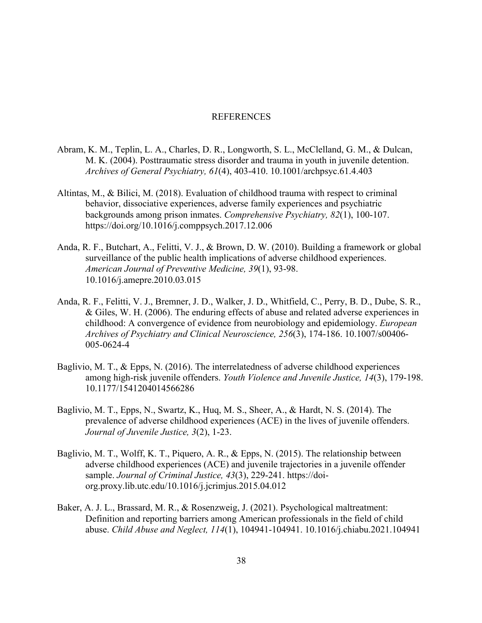#### REFERENCES

- Abram, K. M., Teplin, L. A., Charles, D. R., Longworth, S. L., McClelland, G. M., & Dulcan, M. K. (2004). Posttraumatic stress disorder and trauma in youth in juvenile detention. *Archives of General Psychiatry, 61*(4), 403-410. 10.1001/archpsyc.61.4.403
- Altintas, M., & Bilici, M. (2018). Evaluation of childhood trauma with respect to criminal behavior, dissociative experiences, adverse family experiences and psychiatric backgrounds among prison inmates. *Comprehensive Psychiatry, 82*(1), 100-107. https://doi.org/10.1016/j.comppsych.2017.12.006
- Anda, R. F., Butchart, A., Felitti, V. J., & Brown, D. W. (2010). Building a framework or global surveillance of the public health implications of adverse childhood experiences. *American Journal of Preventive Medicine, 39*(1), 93-98. 10.1016/j.amepre.2010.03.015
- Anda, R. F., Felitti, V. J., Bremner, J. D., Walker, J. D., Whitfield, C., Perry, B. D., Dube, S. R., & Giles, W. H. (2006). The enduring effects of abuse and related adverse experiences in childhood: A convergence of evidence from neurobiology and epidemiology. *European Archives of Psychiatry and Clinical Neuroscience, 256*(3), 174-186. 10.1007/s00406- 005-0624-4
- Baglivio, M. T., & Epps, N. (2016). The interrelatedness of adverse childhood experiences among high-risk juvenile offenders. *Youth Violence and Juvenile Justice, 14*(3), 179-198. 10.1177/1541204014566286
- Baglivio, M. T., Epps, N., Swartz, K., Huq, M. S., Sheer, A., & Hardt, N. S. (2014). The prevalence of adverse childhood experiences (ACE) in the lives of juvenile offenders. *Journal of Juvenile Justice, 3*(2), 1-23.
- Baglivio, M. T., Wolff, K. T., Piquero, A. R., & Epps, N. (2015). The relationship between adverse childhood experiences (ACE) and juvenile trajectories in a juvenile offender sample. *Journal of Criminal Justice, 43*(3), 229-241. https://doiorg.proxy.lib.utc.edu/10.1016/j.jcrimjus.2015.04.012
- Baker, A. J. L., Brassard, M. R., & Rosenzweig, J. (2021). Psychological maltreatment: Definition and reporting barriers among American professionals in the field of child abuse. *Child Abuse and Neglect, 114*(1), 104941-104941. 10.1016/j.chiabu.2021.104941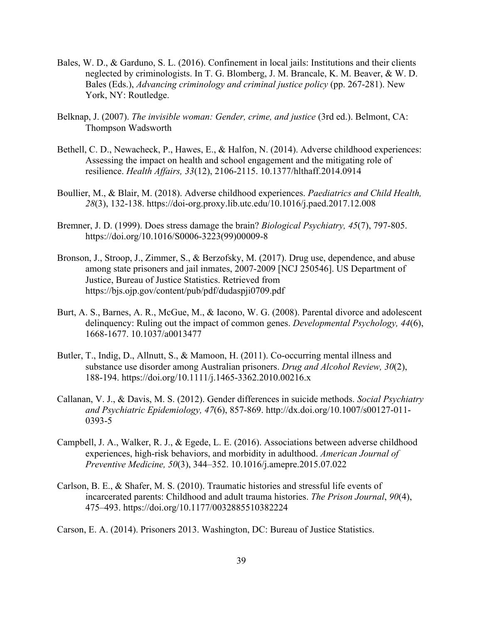- Bales, W. D., & Garduno, S. L. (2016). Confinement in local jails: Institutions and their clients neglected by criminologists. In T. G. Blomberg, J. M. Brancale, K. M. Beaver, & W. D. Bales (Eds.), *Advancing criminology and criminal justice policy* (pp. 267-281). New York, NY: Routledge.
- Belknap, J. (2007). *The invisible woman: Gender, crime, and justice* (3rd ed.). Belmont, CA: Thompson Wadsworth
- Bethell, C. D., Newacheck, P., Hawes, E., & Halfon, N. (2014). Adverse childhood experiences: Assessing the impact on health and school engagement and the mitigating role of resilience. *Health Affairs, 33*(12), 2106-2115. 10.1377/hlthaff.2014.0914
- Boullier, M., & Blair, M. (2018). Adverse childhood experiences. *Paediatrics and Child Health, 28*(3), 132-138. https://doi-org.proxy.lib.utc.edu/10.1016/j.paed.2017.12.008
- Bremner, J. D. (1999). Does stress damage the brain? *Biological Psychiatry, 45*(7), 797-805. https://doi.org/10.1016/S0006-3223(99)00009-8
- Bronson, J., Stroop, J., Zimmer, S., & Berzofsky, M. (2017). Drug use, dependence, and abuse among state prisoners and jail inmates, 2007-2009 [NCJ 250546]. US Department of Justice, Bureau of Justice Statistics. Retrieved from https://bjs.ojp.gov/content/pub/pdf/dudaspji0709.pdf
- Burt, A. S., Barnes, A. R., McGue, M., & Iacono, W. G. (2008). Parental divorce and adolescent delinquency: Ruling out the impact of common genes. *Developmental Psychology, 44*(6), 1668-1677. 10.1037/a0013477
- Butler, T., Indig, D., Allnutt, S., & Mamoon, H. (2011). Co-occurring mental illness and substance use disorder among Australian prisoners. *Drug and Alcohol Review, 30*(2), 188-194. https://doi.org/10.1111/j.1465-3362.2010.00216.x
- Callanan, V. J., & Davis, M. S. (2012). Gender differences in suicide methods. *Social Psychiatry and Psychiatric Epidemiology, 47*(6), 857-869. http://dx.doi.org/10.1007/s00127-011- 0393-5
- Campbell, J. A., Walker, R. J., & Egede, L. E. (2016). Associations between adverse childhood experiences, high-risk behaviors, and morbidity in adulthood. *American Journal of Preventive Medicine, 50*(3), 344–352. 10.1016/j.amepre.2015.07.022
- Carlson, B. E., & Shafer, M. S. (2010). Traumatic histories and stressful life events of incarcerated parents: Childhood and adult trauma histories. *The Prison Journal*, *90*(4), 475–493. https://doi.org/10.1177/0032885510382224

Carson, E. A. (2014). Prisoners 2013. Washington, DC: Bureau of Justice Statistics.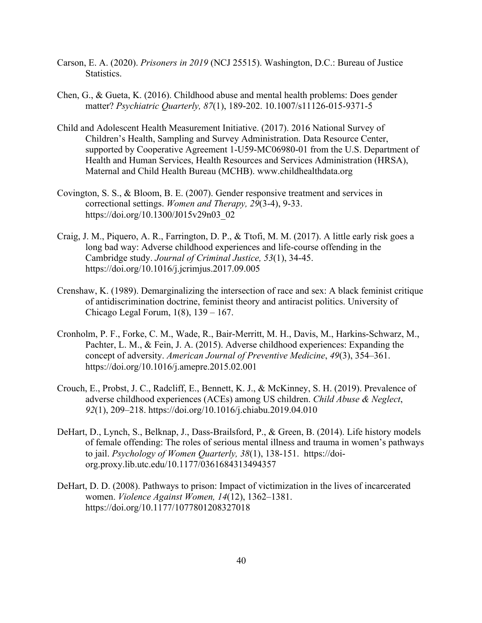- Carson, E. A. (2020). *Prisoners in 2019* (NCJ 25515). Washington, D.C.: Bureau of Justice Statistics.
- Chen, G., & Gueta, K. (2016). Childhood abuse and mental health problems: Does gender matter? *Psychiatric Quarterly, 87*(1), 189-202. 10.1007/s11126-015-9371-5
- Child and Adolescent Health Measurement Initiative. (2017). 2016 National Survey of Children's Health, Sampling and Survey Administration. Data Resource Center, supported by Cooperative Agreement 1-U59-MC06980-01 from the U.S. Department of Health and Human Services, Health Resources and Services Administration (HRSA), Maternal and Child Health Bureau (MCHB). www.childhealthdata.org
- Covington, S. S., & Bloom, B. E. (2007). Gender responsive treatment and services in correctional settings. *Women and Therapy, 29*(3-4), 9-33. https://doi.org/10.1300/J015v29n03\_02
- Craig, J. M., Piquero, A. R., Farrington, D. P., & Ttofi, M. M. (2017). A little early risk goes a long bad way: Adverse childhood experiences and life-course offending in the Cambridge study. *Journal of Criminal Justice, 53*(1), 34-45. https://doi.org/10.1016/j.jcrimjus.2017.09.005
- Crenshaw, K. (1989). Demarginalizing the intersection of race and sex: A black feminist critique of antidiscrimination doctrine, feminist theory and antiracist politics. University of Chicago Legal Forum, 1(8), 139 – 167.
- Cronholm, P. F., Forke, C. M., Wade, R., Bair-Merritt, M. H., Davis, M., Harkins-Schwarz, M., Pachter, L. M., & Fein, J. A. (2015). Adverse childhood experiences: Expanding the concept of adversity. *American Journal of Preventive Medicine*, *49*(3), 354–361. https://doi.org/10.1016/j.amepre.2015.02.001
- Crouch, E., Probst, J. C., Radcliff, E., Bennett, K. J., & McKinney, S. H. (2019). Prevalence of adverse childhood experiences (ACEs) among US children. *Child Abuse & Neglect*, *92*(1), 209–218. https://doi.org/10.1016/j.chiabu.2019.04.010
- DeHart, D., Lynch, S., Belknap, J., Dass-Brailsford, P., & Green, B. (2014). Life history models of female offending: The roles of serious mental illness and trauma in women's pathways to jail. *Psychology of Women Quarterly, 38*(1), 138-151. https://doiorg.proxy.lib.utc.edu/10.1177/0361684313494357
- DeHart, D. D. (2008). Pathways to prison: Impact of victimization in the lives of incarcerated women. *Violence Against Women, 14*(12), 1362–1381. https://doi.org/10.1177/1077801208327018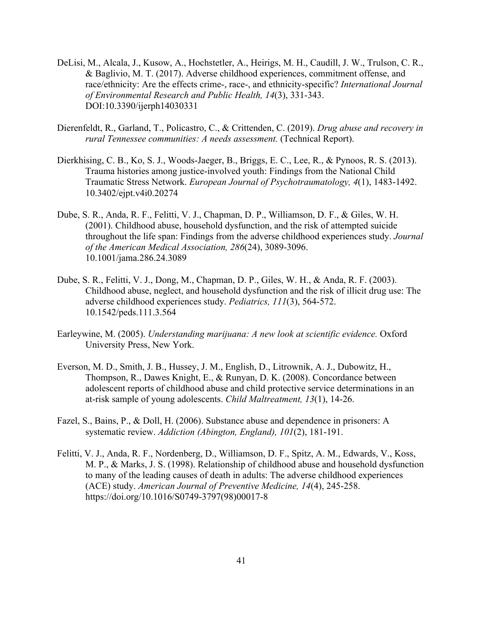- DeLisi, M., Alcala, J., Kusow, A., Hochstetler, A., Heirigs, M. H., Caudill, J. W., Trulson, C. R., & Baglivio, M. T. (2017). Adverse childhood experiences, commitment offense, and race/ethnicity: Are the effects crime-, race-, and ethnicity-specific? *International Journal of Environmental Research and Public Health, 14*(3), 331-343. DOI:10.3390/ijerph14030331
- Dierenfeldt, R., Garland, T., Policastro, C., & Crittenden, C. (2019). *Drug abuse and recovery in rural Tennessee communities: A needs assessment.* (Technical Report).
- Dierkhising, C. B., Ko, S. J., Woods-Jaeger, B., Briggs, E. C., Lee, R., & Pynoos, R. S. (2013). Trauma histories among justice-involved youth: Findings from the National Child Traumatic Stress Network. *European Journal of Psychotraumatology, 4*(1), 1483-1492. 10.3402/ejpt.v4i0.20274
- Dube, S. R., Anda, R. F., Felitti, V. J., Chapman, D. P., Williamson, D. F., & Giles, W. H. (2001). Childhood abuse, household dysfunction, and the risk of attempted suicide throughout the life span: Findings from the adverse childhood experiences study. *Journal of the American Medical Association, 286*(24), 3089-3096. 10.1001/jama.286.24.3089
- Dube, S. R., Felitti, V. J., Dong, M., Chapman, D. P., Giles, W. H., & Anda, R. F. (2003). Childhood abuse, neglect, and household dysfunction and the risk of illicit drug use: The adverse childhood experiences study. *Pediatrics, 111*(3), 564-572. 10.1542/peds.111.3.564
- Earleywine, M. (2005). *Understanding marijuana: A new look at scientific evidence.* Oxford University Press, New York.
- Everson, M. D., Smith, J. B., Hussey, J. M., English, D., Litrownik, A. J., Dubowitz, H., Thompson, R., Dawes Knight, E., & Runyan, D. K. (2008). Concordance between adolescent reports of childhood abuse and child protective service determinations in an at-risk sample of young adolescents. *Child Maltreatment, 13*(1), 14-26.
- Fazel, S., Bains, P., & Doll, H. (2006). Substance abuse and dependence in prisoners: A systematic review. *Addiction (Abington, England), 101*(2), 181-191.
- Felitti, V. J., Anda, R. F., Nordenberg, D., Williamson, D. F., Spitz, A. M., Edwards, V., Koss, M. P., & Marks, J. S. (1998). Relationship of childhood abuse and household dysfunction to many of the leading causes of death in adults: The adverse childhood experiences (ACE) study. *American Journal of Preventive Medicine, 14*(4), 245-258. https://doi.org/10.1016/S0749-3797(98)00017-8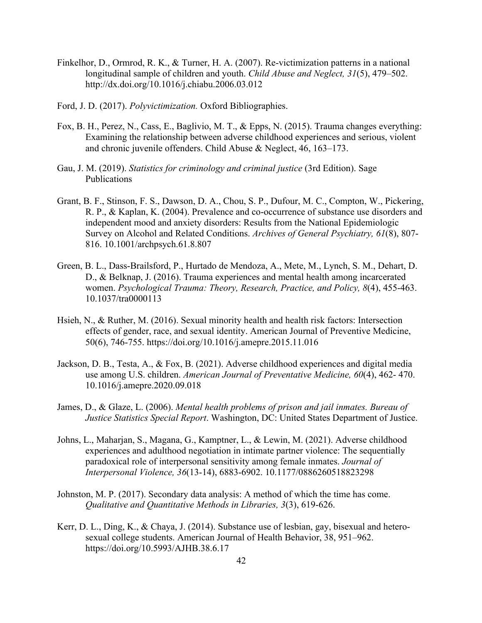- Finkelhor, D., Ormrod, R. K., & Turner, H. A. (2007). Re-victimization patterns in a national longitudinal sample of children and youth. *Child Abuse and Neglect, 31*(5), 479–502. http://dx.doi.org/10.1016/j.chiabu.2006.03.012
- Ford, J. D. (2017). *Polyvictimization.* Oxford Bibliographies.
- Fox, B. H., Perez, N., Cass, E., Baglivio, M. T., & Epps, N. (2015). Trauma changes everything: Examining the relationship between adverse childhood experiences and serious, violent and chronic juvenile offenders. Child Abuse & Neglect, 46, 163–173.
- Gau, J. M. (2019). *Statistics for criminology and criminal justice* (3rd Edition). Sage Publications
- Grant, B. F., Stinson, F. S., Dawson, D. A., Chou, S. P., Dufour, M. C., Compton, W., Pickering, R. P., & Kaplan, K. (2004). Prevalence and co-occurrence of substance use disorders and independent mood and anxiety disorders: Results from the National Epidemiologic Survey on Alcohol and Related Conditions. *Archives of General Psychiatry, 61*(8), 807- 816. 10.1001/archpsych.61.8.807
- Green, B. L., Dass-Brailsford, P., Hurtado de Mendoza, A., Mete, M., Lynch, S. M., Dehart, D. D., & Belknap, J. (2016). Trauma experiences and mental health among incarcerated women. *Psychological Trauma: Theory, Research, Practice, and Policy, 8*(4), 455-463. 10.1037/tra0000113
- Hsieh, N., & Ruther, M. (2016). Sexual minority health and health risk factors: Intersection effects of gender, race, and sexual identity. American Journal of Preventive Medicine, 50(6), 746-755. https://doi.org/10.1016/j.amepre.2015.11.016
- Jackson, D. B., Testa, A., & Fox, B. (2021). Adverse childhood experiences and digital media use among U.S. children. *American Journal of Preventative Medicine, 60*(4), 462- 470. 10.1016/j.amepre.2020.09.018
- James, D., & Glaze, L. (2006). *Mental health problems of prison and jail inmates. Bureau of Justice Statistics Special Report*. Washington, DC: United States Department of Justice.
- Johns, L., Maharjan, S., Magana, G., Kamptner, L., & Lewin, M. (2021). Adverse childhood experiences and adulthood negotiation in intimate partner violence: The sequentially paradoxical role of interpersonal sensitivity among female inmates. *Journal of Interpersonal Violence, 36*(13-14), 6883-6902. 10.1177/0886260518823298
- Johnston, M. P. (2017). Secondary data analysis: A method of which the time has come. *Qualitative and Quantitative Methods in Libraries, 3*(3), 619-626.
- Kerr, D. L., Ding, K., & Chaya, J. (2014). Substance use of lesbian, gay, bisexual and heterosexual college students. American Journal of Health Behavior, 38, 951–962. https://doi.org/10.5993/AJHB.38.6.17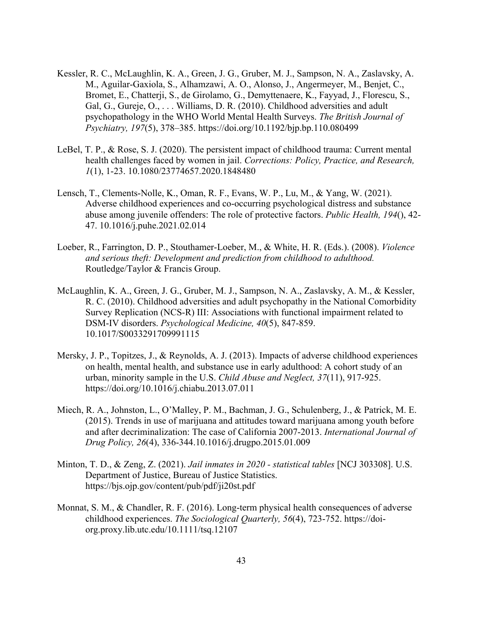- Kessler, R. C., McLaughlin, K. A., Green, J. G., Gruber, M. J., Sampson, N. A., Zaslavsky, A. M., Aguilar-Gaxiola, S., Alhamzawi, A. O., Alonso, J., Angermeyer, M., Benjet, C., Bromet, E., Chatterji, S., de Girolamo, G., Demyttenaere, K., Fayyad, J., Florescu, S., Gal, G., Gureje, O., . . . Williams, D. R. (2010). Childhood adversities and adult psychopathology in the WHO World Mental Health Surveys. *The British Journal of Psychiatry, 197*(5), 378–385. https://doi.org/10.1192/bjp.bp.110.080499
- LeBel, T. P., & Rose, S. J. (2020). The persistent impact of childhood trauma: Current mental health challenges faced by women in jail. *Corrections: Policy, Practice, and Research, 1*(1), 1-23. 10.1080/23774657.2020.1848480
- Lensch, T., Clements-Nolle, K., Oman, R. F., Evans, W. P., Lu, M., & Yang, W. (2021). Adverse childhood experiences and co-occurring psychological distress and substance abuse among juvenile offenders: The role of protective factors. *Public Health, 194*(), 42- 47. 10.1016/j.puhe.2021.02.014
- Loeber, R., Farrington, D. P., Stouthamer-Loeber, M., & White, H. R. (Eds.). (2008). *Violence and serious theft: Development and prediction from childhood to adulthood.* Routledge/Taylor & Francis Group.
- McLaughlin, K. A., Green, J. G., Gruber, M. J., Sampson, N. A., Zaslavsky, A. M., & Kessler, R. C. (2010). Childhood adversities and adult psychopathy in the National Comorbidity Survey Replication (NCS-R) III: Associations with functional impairment related to DSM-IV disorders. *Psychological Medicine, 40*(5), 847-859. 10.1017/S0033291709991115
- Mersky, J. P., Topitzes, J., & Reynolds, A. J. (2013). Impacts of adverse childhood experiences on health, mental health, and substance use in early adulthood: A cohort study of an urban, minority sample in the U.S. *Child Abuse and Neglect, 37*(11), 917-925. https://doi.org/10.1016/j.chiabu.2013.07.011
- Miech, R. A., Johnston, L., O'Malley, P. M., Bachman, J. G., Schulenberg, J., & Patrick, M. E. (2015). Trends in use of marijuana and attitudes toward marijuana among youth before and after decriminalization: The case of California 2007-2013. *International Journal of Drug Policy, 26*(4), 336-344.10.1016/j.drugpo.2015.01.009
- Minton, T. D., & Zeng, Z. (2021). *Jail inmates in 2020 - statistical tables* [NCJ 303308]. U.S. Department of Justice, Bureau of Justice Statistics. https://bjs.ojp.gov/content/pub/pdf/ji20st.pdf
- Monnat, S. M., & Chandler, R. F. (2016). Long-term physical health consequences of adverse childhood experiences. *The Sociological Quarterly, 56*(4), 723-752. https://doiorg.proxy.lib.utc.edu/10.1111/tsq.12107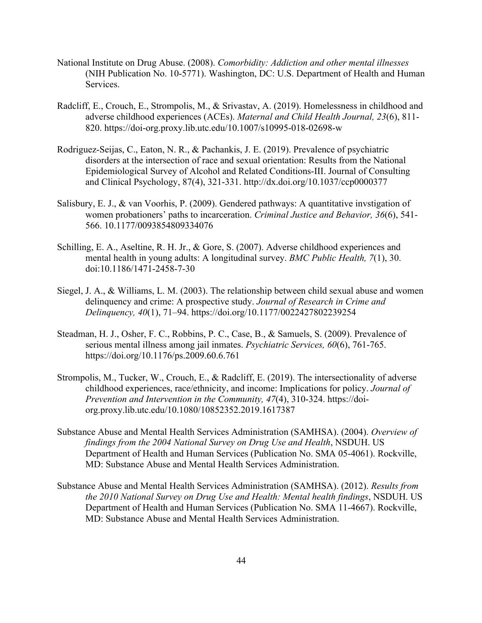- National Institute on Drug Abuse. (2008). *Comorbidity: Addiction and other mental illnesses*  (NIH Publication No. 10-5771). Washington, DC: U.S. Department of Health and Human Services.
- Radcliff, E., Crouch, E., Strompolis, M., & Srivastav, A. (2019). Homelessness in childhood and adverse childhood experiences (ACEs). *Maternal and Child Health Journal, 23*(6), 811- 820. https://doi-org.proxy.lib.utc.edu/10.1007/s10995-018-02698-w
- Rodriguez-Seijas, C., Eaton, N. R., & Pachankis, J. E. (2019). Prevalence of psychiatric disorders at the intersection of race and sexual orientation: Results from the National Epidemiological Survey of Alcohol and Related Conditions-III. Journal of Consulting and Clinical Psychology, 87(4), 321-331. http://dx.doi.org/10.1037/ccp0000377
- Salisbury, E. J., & van Voorhis, P. (2009). Gendered pathways: A quantitative invstigation of women probationers' paths to incarceration. *Criminal Justice and Behavior, 36*(6), 541- 566. 10.1177/0093854809334076
- Schilling, E. A., Aseltine, R. H. Jr., & Gore, S. (2007). Adverse childhood experiences and mental health in young adults: A longitudinal survey. *BMC Public Health, 7*(1), 30. doi:10.1186/1471-2458-7-30
- Siegel, J. A., & Williams, L. M. (2003). The relationship between child sexual abuse and women delinquency and crime: A prospective study. *Journal of Research in Crime and Delinquency, 40*(1), 71–94. https://doi.org/10.1177/0022427802239254
- Steadman, H. J., Osher, F. C., Robbins, P. C., Case, B., & Samuels, S. (2009). Prevalence of serious mental illness among jail inmates. *Psychiatric Services, 60*(6), 761-765. https://doi.org/10.1176/ps.2009.60.6.761
- Strompolis, M., Tucker, W., Crouch, E., & Radcliff, E. (2019). The intersectionality of adverse childhood experiences, race/ethnicity, and income: Implications for policy. *Journal of Prevention and Intervention in the Community, 47*(4), 310-324. https://doiorg.proxy.lib.utc.edu/10.1080/10852352.2019.1617387
- Substance Abuse and Mental Health Services Administration (SAMHSA). (2004). *Overview of findings from the 2004 National Survey on Drug Use and Health*, NSDUH. US Department of Health and Human Services (Publication No. SMA 05-4061). Rockville, MD: Substance Abuse and Mental Health Services Administration.
- Substance Abuse and Mental Health Services Administration (SAMHSA). (2012). *Results from the 2010 National Survey on Drug Use and Health: Mental health findings*, NSDUH. US Department of Health and Human Services (Publication No. SMA 11-4667). Rockville, MD: Substance Abuse and Mental Health Services Administration.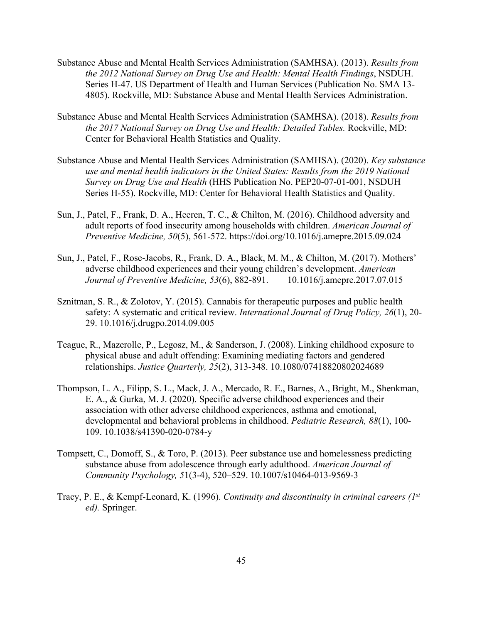- Substance Abuse and Mental Health Services Administration (SAMHSA). (2013). *Results from the 2012 National Survey on Drug Use and Health: Mental Health Findings*, NSDUH. Series H-47. US Department of Health and Human Services (Publication No. SMA 13- 4805). Rockville, MD: Substance Abuse and Mental Health Services Administration.
- Substance Abuse and Mental Health Services Administration (SAMHSA). (2018). *Results from the 2017 National Survey on Drug Use and Health: Detailed Tables.* Rockville, MD: Center for Behavioral Health Statistics and Quality.
- Substance Abuse and Mental Health Services Administration (SAMHSA). (2020). *Key substance use and mental health indicators in the United States: Results from the 2019 National Survey on Drug Use and Health* (HHS Publication No. PEP20-07-01-001, NSDUH Series H-55). Rockville, MD: Center for Behavioral Health Statistics and Quality.
- Sun, J., Patel, F., Frank, D. A., Heeren, T. C., & Chilton, M. (2016). Childhood adversity and adult reports of food insecurity among households with children. *American Journal of Preventive Medicine, 50*(5), 561-572. https://doi.org/10.1016/j.amepre.2015.09.024
- Sun, J., Patel, F., Rose-Jacobs, R., Frank, D. A., Black, M. M., & Chilton, M. (2017). Mothers' adverse childhood experiences and their young children's development. *American Journal of Preventive Medicine, 53*(6), 882-891. 10.1016/j.amepre.2017.07.015
- Sznitman, S. R., & Zolotov, Y. (2015). Cannabis for therapeutic purposes and public health safety: A systematic and critical review. *International Journal of Drug Policy, 26*(1), 20- 29. 10.1016/j.drugpo.2014.09.005
- Teague, R., Mazerolle, P., Legosz, M., & Sanderson, J. (2008). Linking childhood exposure to physical abuse and adult offending: Examining mediating factors and gendered relationships. *Justice Quarterly, 25*(2), 313-348. 10.1080/07418820802024689
- Thompson, L. A., Filipp, S. L., Mack, J. A., Mercado, R. E., Barnes, A., Bright, M., Shenkman, E. A., & Gurka, M. J. (2020). Specific adverse childhood experiences and their association with other adverse childhood experiences, asthma and emotional, developmental and behavioral problems in childhood. *Pediatric Research, 88*(1), 100- 109. 10.1038/s41390-020-0784-y
- Tompsett, C., Domoff, S., & Toro, P. (2013). Peer substance use and homelessness predicting substance abuse from adolescence through early adulthood. *American Journal of Community Psychology, 5*1(3-4), 520–529. 10.1007/s10464-013-9569-3
- Tracy, P. E., & Kempf-Leonard, K. (1996). *Continuity and discontinuity in criminal careers (1st ed).* Springer.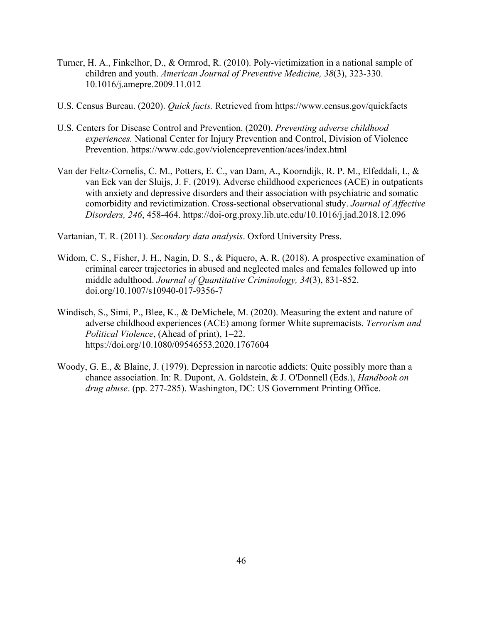- Turner, H. A., Finkelhor, D., & Ormrod, R. (2010). Poly-victimization in a national sample of children and youth. *American Journal of Preventive Medicine, 38*(3), 323-330. 10.1016/j.amepre.2009.11.012
- U.S. Census Bureau. (2020). *Quick facts.* Retrieved from https://www.census.gov/quickfacts
- U.S. Centers for Disease Control and Prevention. (2020). *Preventing adverse childhood experiences.* National Center for Injury Prevention and Control, Division of Violence Prevention. https://www.cdc.gov/violenceprevention/aces/index.html
- Van der Feltz-Cornelis, C. M., Potters, E. C., van Dam, A., Koorndijk, R. P. M., Elfeddali, I., & van Eck van der Sluijs, J. F. (2019). Adverse childhood experiences (ACE) in outpatients with anxiety and depressive disorders and their association with psychiatric and somatic comorbidity and revictimization. Cross-sectional observational study. *Journal of Affective Disorders, 246*, 458-464. https://doi-org.proxy.lib.utc.edu/10.1016/j.jad.2018.12.096

Vartanian, T. R. (2011). *Secondary data analysis*. Oxford University Press.

- Widom, C. S., Fisher, J. H., Nagin, D. S., & Piquero, A. R. (2018). A prospective examination of criminal career trajectories in abused and neglected males and females followed up into middle adulthood. *Journal of Quantitative Criminology, 34*(3), 831-852. doi.org/10.1007/s10940-017-9356-7
- Windisch, S., Simi, P., Blee, K., & DeMichele, M. (2020). Measuring the extent and nature of adverse childhood experiences (ACE) among former White supremacists. *Terrorism and Political Violence*, (Ahead of print), 1–22. https://doi.org/10.1080/09546553.2020.1767604
- Woody, G. E., & Blaine, J. (1979). Depression in narcotic addicts: Quite possibly more than a chance association. In: R. Dupont, A. Goldstein, & J. O'Donnell (Eds.), *Handbook on drug abuse*. (pp. 277-285). Washington, DC: US Government Printing Office.